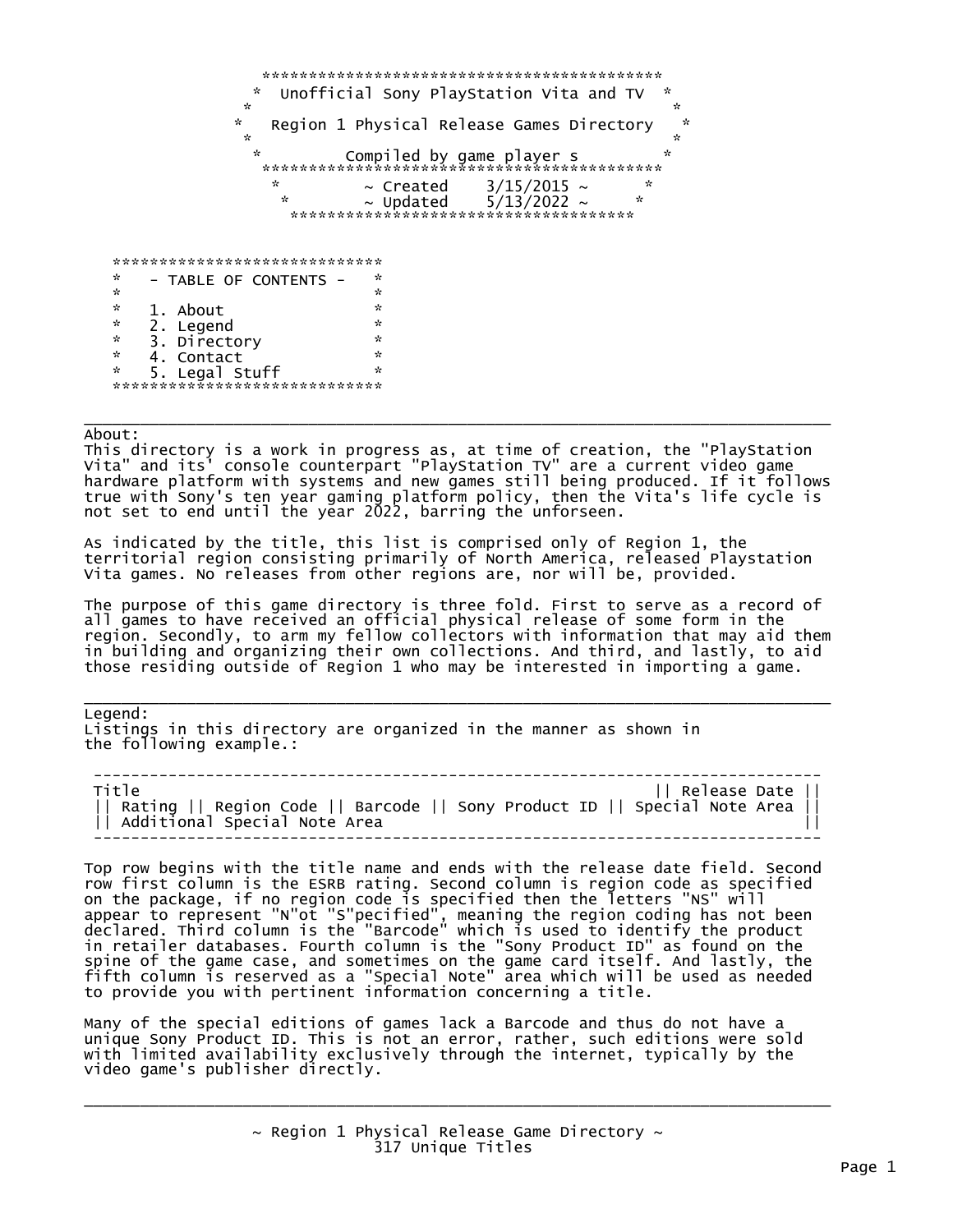\*\*\*\*\*\*\*\*\*\*\*\*\*\*\*\*\*\*\*\*\*\*\*\*\*\*\*\*\*\*\*\*\*\*\*\*\*\*\*\*\*\*\* Unofficial Sony PlayStation Vita and TV  $\mathbf{x} = \mathbf{x} + \mathbf{y} + \mathbf{z} + \mathbf{z} + \mathbf{z} + \mathbf{z} + \mathbf{z} + \mathbf{z} + \mathbf{z} + \mathbf{z} + \mathbf{z} + \mathbf{z} + \mathbf{z} + \mathbf{z} + \mathbf{z} + \mathbf{z} + \mathbf{z} + \mathbf{z} + \mathbf{z} + \mathbf{z} + \mathbf{z} + \mathbf{z} + \mathbf{z} + \mathbf{z} + \mathbf{z} + \mathbf{z} + \mathbf{z} + \mathbf{z} + \mathbf{z} + \mathbf{z} + \mathbf{z$  $\frac{1}{x}$  Region 1 Physical Release Games Directory  $\mathbb{R}^n$  . The contract of the contract of the contract of the contract of the contract of the contract of the contract of the contract of the contract of the contract of the contract of the contract of the contract of \* Compiled by game player s \* \*\*\*\*\*\*\*\*\*\*\*\*\*\*\*\*\*\*\*\*\*\*\*\*\*\*\*\*\*\*\*\*\*\*\*\*\*\*\*\*\*\*\*  $\frac{1}{x}$   $\sim$  Created  $\frac{3}{15}/2015$   $\sim$   $\frac{1}{x}$   $\sim$  Updated 5/13/2022  $\sim$   $\sim$   $\frac{1}{x}$  $5/13/2022 \sim$  \*\*\*\*\*\*\*\*\*\*\*\*\*\*\*\*\*\*\*\*\*\*\*\*\*\*\*\*\*\*\*\*\*\*\*\*\* \*\*\*\*\*\*\*\*\*\*\*\*\*\*\*\*\*\*\*\*\*\*\*\*\*\*\*\*\*  $\begin{array}{ccc} * & - & \text{TABLE OF CONTENTS} & - & * \ * & - & \end{array}$  $\mathcal{R} = \mathcal{R} \times \mathcal{R}$  . The contract of the contract of the contract of the contract of the contract of the contract of the contract of the contract of the contract of the contract of the contract of the contract of the  $\stackrel{*}{\begin{array}{c}\begin{array}{c}\begin{array}{c}\begin{array}{c}\end{array}\\ \end{array}\\ \begin{array}{c}\end{array}\\ \begin{array}{c}\end{array}\\ \begin{array}{c}\end{array}\\ \begin{array}{c}\end{array}\\ \begin{array}{c}\end{array}\\ \begin{array}{c}\end{array}\\ \begin{array}{c}\end{array}\\ \begin{array}{c}\end{array}\\ \begin{array}{c}\end{array}\\ \begin{array}{c}\end{array}\\ \begin{array}{c}\end{array}\\ \begin{array}{c}\end{array}\\ \begin{array}{c}\end{array}\\ \begin{array}{c}\end{array}\\ \begin{array}{c}\end{array}\\ \begin{array}{c}\end{array}\\ \begin{array}{$  \* 2. Legend \*  $\stackrel{*}{\begin{array}{c}\n\ast\\
\ast\\
\end{array}}$  3. Directory  $\stackrel{*}{\begin{array}{c}\n\ast\\
\end{array}}$ 4. Contact \* 5. Legal Stuff \* \*\*\*\*\*\*\*\*\*\*\*\*\*\*\*\*\*\*\*\*\*\*\*\*

\_\_\_\_\_\_\_\_\_\_\_\_\_\_\_\_\_\_\_\_\_\_\_\_\_\_\_\_\_\_\_\_\_\_\_\_\_\_\_\_\_\_\_\_\_\_\_\_\_\_\_\_\_\_\_\_\_\_\_\_\_\_\_\_\_\_\_\_\_\_\_\_\_\_\_\_\_\_\_\_ About:

This directory is a work in progress as, at time of creation, the "PlayStation Vita" and its' console counterpart "PlayStation TV" are a current video game hardware platform with systems and new games still being produced. If it follows true with Sony's ten year gaming platform policy, then the Vita's life cycle is not set to end until the year 2022, barring the unforseen.

As indicated by the title, this list is comprised only of Region 1, the territorial region consisting primarily of North America, released Playstation Vita games. No releases from other regions are, nor will be, provided.

The purpose of this game directory is three fold. First to serve as a record of all games to have received an official physical release of some form in the region. Secondly, to arm my fellow collectors with information that may aid them in building and organizing their own collections. And third, and lastly, to aid those residing outside of Region 1 who may be interested in importing a game.

\_\_\_\_\_\_\_\_\_\_\_\_\_\_\_\_\_\_\_\_\_\_\_\_\_\_\_\_\_\_\_\_\_\_\_\_\_\_\_\_\_\_\_\_\_\_\_\_\_\_\_\_\_\_\_\_\_\_\_\_\_\_\_\_\_\_\_\_\_\_\_\_\_\_\_\_\_\_\_\_ Legend:

Listings in this directory are organized in the manner as shown in the following example.:

 ------------------------------------------------------------------------------ Title || Release Date || || Rating || Region Code || Barcode || Sony Product ID || Special Note Area || || Additional Special Note Area || ------------------------------------------------------------------------------

Top row begins with the title name and ends with the release date field. Second row first column is the ESRB rating. Second column is region code as specified on the package, if no region code is specified then the letters "NS" will appear to represent "N"ot "S"pecified", meaning the region coding has not been declared. Third column is the "Barcode" which is used to identify the product in retailer databases. Fourth column is the "Sony Product ID" as found on the spine of the game case, and sometimes on the game card itself. And lastly, the fifth column is reserved as a "Special Note" area which will be used as needed to provide you with pertinent information concerning a title.

Many of the special editions of games lack a Barcode and thus do not have a unique Sony Product ID. This is not an error, rather, such editions were sold with limited availability exclusively through the internet, typically by the video game's publisher directly.

> $\sim$  Region 1 Physical Release Game Directory  $\sim$ 317 Unique Titles

\_\_\_\_\_\_\_\_\_\_\_\_\_\_\_\_\_\_\_\_\_\_\_\_\_\_\_\_\_\_\_\_\_\_\_\_\_\_\_\_\_\_\_\_\_\_\_\_\_\_\_\_\_\_\_\_\_\_\_\_\_\_\_\_\_\_\_\_\_\_\_\_\_\_\_\_\_\_\_\_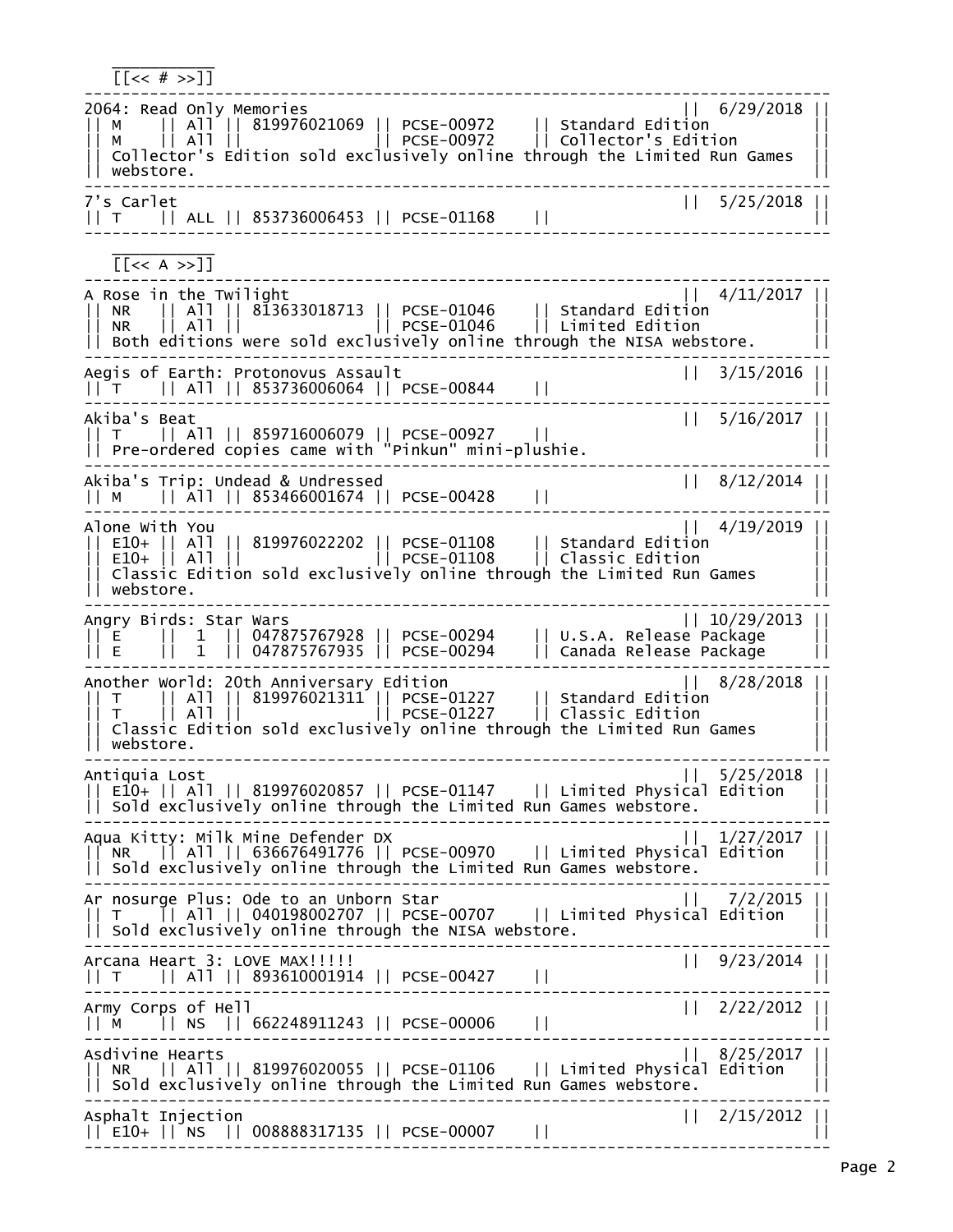[[<< # >>]] 2064: Read Only Memories 2064: Read Only Memories 2064: Read Only Memories || 6/29/2018 || || M || All || 819976021069 || PCSE-00972 || Standard Edition || || M || All || || PCSE-00972 || Collector's Edition || || Collector's Edition sold exclusively online through the Limited Run Games || || webstore. || -------------------------------------------------------------------------------- 7's Carlet || 5/25/2018 || || T || ALL || 853736006453 || PCSE-01168 || || --------------------------------------------------------------------------------  $\frac{1}{2}$  ,  $\frac{1}{2}$  ,  $\frac{1}{2}$  ,  $\frac{1}{2}$  ,  $\frac{1}{2}$  ,  $\frac{1}{2}$  ,  $\frac{1}{2}$  ,  $\frac{1}{2}$  $[<\langle A \rangle$ -------------------------------------------------------------------------------- A Rose in the Twilight || 4/11/2017 || || NR || All || 813633018713 || PCSE-01046 || Standard Edition || || NR || All || || PCSE-01046 || Limited Edition ||  $| \; |$  Both editions were sold exclusively online through the NISA webstore. -------------------------------------------------------------------------------- Aegis of Earth: Protonovus Assault || 3/15/2016 || || T || All || 853736006064 || PCSE-00844 || || -------------------------------------------------------------------------------- Akiba's Beat || 5/16/2017 || || T || All || 859716006079 || PCSE-00927 || || || Pre-ordered copies came with "Pinkun" mini-plushie. || -------------------------------------------------------------------------------- Akiba's Trip: Undead & Undressed || 8/12/2014 || || M || All || 853466001674 || PCSE-00428 || || -------------------------------------------------------------------------------- Alone With You || 4/19/2019 || || E10+ || All || 819976022202 || PCSE-01108 || Standard Edition || || E10+ || All || || PCSE-01108 || Classic Edition ||  $\,$  Classic Edition sold exclusively online through the Limited Run Games  $\,$ || webstore. || -------------------------------------------------------------------------------- Angry Birds: Star Wars || 10/29/2013 || || E || 1 || 047875767928 || PCSE-00294 || U.S.A. Release Package || || E || 1 || 047875767935 || PCSE-00294 || Canada Release Package || -------------------------------------------------------------------------------- Another World: 20th Anniversary Edition || 8/28/2018 || || T || All || 819976021311 || PCSE-01227 || Standard Edition || || T || All || || PCSE-01227 || Classic Edition || || Classic Edition sold exclusively online through the Limited Run Games || || webstore. || -------------------------------------------------------------------------------- Antiquia Lost || 5/25/2018 || || E10+ || All || 819976020857 || PCSE-01147 || Limited Physical Edition ||  $|$  Sold exclusively online through the Limited Run Games webstore. -------------------------------------------------------------------------------- Aqua Kitty: Milk Mine Defender DX || 1/27/2017 || || NR || All || 636676491776 || PCSE-00970 || Limited Physical Edition || || Sold exclusively online through the Limited Run Games webstore. -------------------------------------------------------------------------------- Ar nosurge Plus: Ode to an Unborn Star || 7/2/2015 || || T || All || 040198002707 || PCSE-00707 || Limited Physical Edition ||  $| \cdot |$  Sold exclusively online through the NISA webstore. -------------------------------------------------------------------------------- Arcana Heart 3: LOVE MAX!!!!! || 9/23/2014 || || T || All || 893610001914 || PCSE-00427 || || -------------------------------------------------------------------------------- Army Corps of Hell || 2/22/2012 || || M || NS || 662248911243 || PCSE-00006 || || -------------------------------------------------------------------------------- Asdivine Hearts || 8/25/2017 || || NR || All || 819976020055 || PCSE-01106 || Limited Physical Edition ||  $| \ \vert$  Sold exclusively online through the Limited Run Games webstore. -------------------------------------------------------------------------------- Asphalt Injection || 2/15/2012 || || E10+ || NS || 008888317135 || PCSE-00007 || || --------------------------------------------------------------------------------

 $\frac{1}{2}$  ,  $\frac{1}{2}$  ,  $\frac{1}{2}$  ,  $\frac{1}{2}$  ,  $\frac{1}{2}$  ,  $\frac{1}{2}$  ,  $\frac{1}{2}$  ,  $\frac{1}{2}$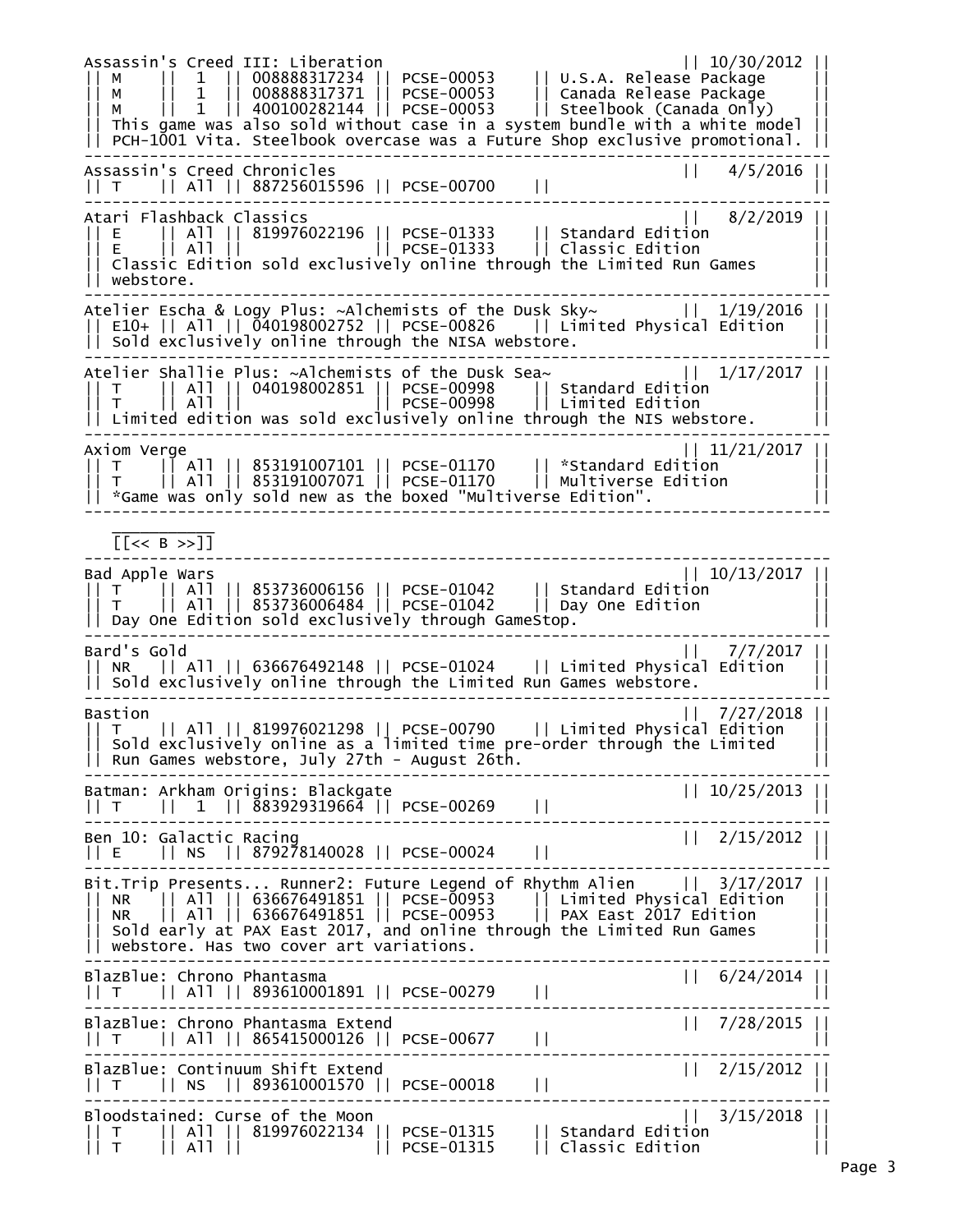Assassin's Creed III: Liberation || 10/30/2012 || || M || 1 || 008888317234 || PCSE-00053 || U.S.A. Release Package || || M || 1 || 008888317371 || PCSE-00053 || Canada Release Package || || M || 1 || 400100282144 || PCSE-00053 || Steelbook (Canada Only) || || This game was also sold without case in a system bundle with a white model ||  $|\;|$  PCH-1001 Vita. Steelbook overcase was a Future Shop exclusive promotional.  $|\;|$ -------------------------------------------------------------------------------- Assassin's Creed Chronicles || 4/5/2016 || || T || All || 887256015596 || PCSE-00700 || || -------------------------------------------------------------------------------- Atari Flashback Classics || 8/2/2019 || || E || All || 819976022196 || PCSE-01333 || Standard Edition || || E || All || || PCSE-01333 || Classic Edition ||  $\,$  Classic Edition sold exclusively online through the Limited Run Games || webstore. || -------------------------------------------------------------------------------- Atelier Escha & Logy Plus: ~Alchemists of the Dusk Sky~ || 1/19/2016 || || E10+ || All || 040198002752 || PCSE-00826 || Limited Physical Edition || || Sold exclusively online through the NISA webstore. || -------------------------------------------------------------------------------- Atelier Shallie Plus: ~Alchemists of the Dusk Sea~ || 1/17/2017 || || T || All || 040198002851 || PCSE-00998 || Standard Edition || || T || All || || PCSE-00998 || Limited Edition || || Limited edition was sold exclusively online through the NIS webstore. || -------------------------------------------------------------------------------- Axiom Verge || 11/21/2017 || || T || All || 853191007101 || PCSE-01170 || \*Standard Edition || || T || All || 853191007071 || PCSE-01170 || Multiverse Edition || || \*Game was only sold new as the boxed "Multiverse Edition". || --------------------------------------------------------------------------------  $\frac{1}{2}$  ,  $\frac{1}{2}$  ,  $\frac{1}{2}$  ,  $\frac{1}{2}$  ,  $\frac{1}{2}$  ,  $\frac{1}{2}$  ,  $\frac{1}{2}$  ,  $\frac{1}{2}$  [[<< B >>]] -------------------------------------------------------------------------------- Bad Apple Wars || 10/13/2017 || || T || All || 853736006156 || PCSE-01042 || Standard Edition || || T || All || 853736006484 || PCSE-01042 || Day One Edition ||  $|\,|$  Dav One Edition sold exclusively through GameStop. -------------------------------------------------------------------------------- Bard's Gold || 7/7/2017 || || NR || All || 636676492148 || PCSE-01024 || Limited Physical Edition ||  $|\;|$  Sold exclusively online through the Limited Run Games webstore. -------------------------------------------------------------------------------- Bastion || 7/27/2018 || || T || All || 819976021298 || PCSE-00790 || Limited Physical Edition || || Sold exclusively online as a limited time pre-order through the Limited || || Run Games webstore, July 27th - August 26th. || -------------------------------------------------------------------------------- Batman: Arkham Origins: Blackgate || 10/25/2013 || || T || 1 || 883929319664 || PCSE-00269 || || -------------------------------------------------------------------------------- Ben 10: Galactic Racing || 2/15/2012 || || E || NS || 879278140028 || PCSE-00024 || || -------------------------------------------------------------------------------- Bit.Trip Presents... Runner2: Future Legend of Rhythm Alien || 3/17/2017 || || NR || All || 636676491851 || PCSE-00953 || Limited Physical Edition || || NR || All || 636676491851 || PCSE-00953 || PAX East 2017 Edition || || Sold early at PAX East 2017, and online through the Limited Run Games || || webstore. Has two cover art variations. ||  $|| 6/24/2014$ BlazBlue: Chrono Phantasma || T || All || 893610001891 || PCSE-00279 || || -------------------------------------------------------------------------------- BlazBlue: Chrono Phantasma Extend || 7/28/2015 || T || All || 865415000126 || PCSE-00677 || || -------------------------------------------------------------------------------- BlazBlue: Continuum Shift Extend<br>|| T || NS || 893610001570 || PCSE-00018 || || || 2/15/2012 || T || NS || 893610001570 || PCSE-00018 || || -------------------------------------------------------------------------------- Bloodstained: Curse of the Moon || 3/15/2018 || || T || All || 819976022134 || PCSE-01315 || Standard Edition || || T || All || || PCSE-01315 || Classic Edition ||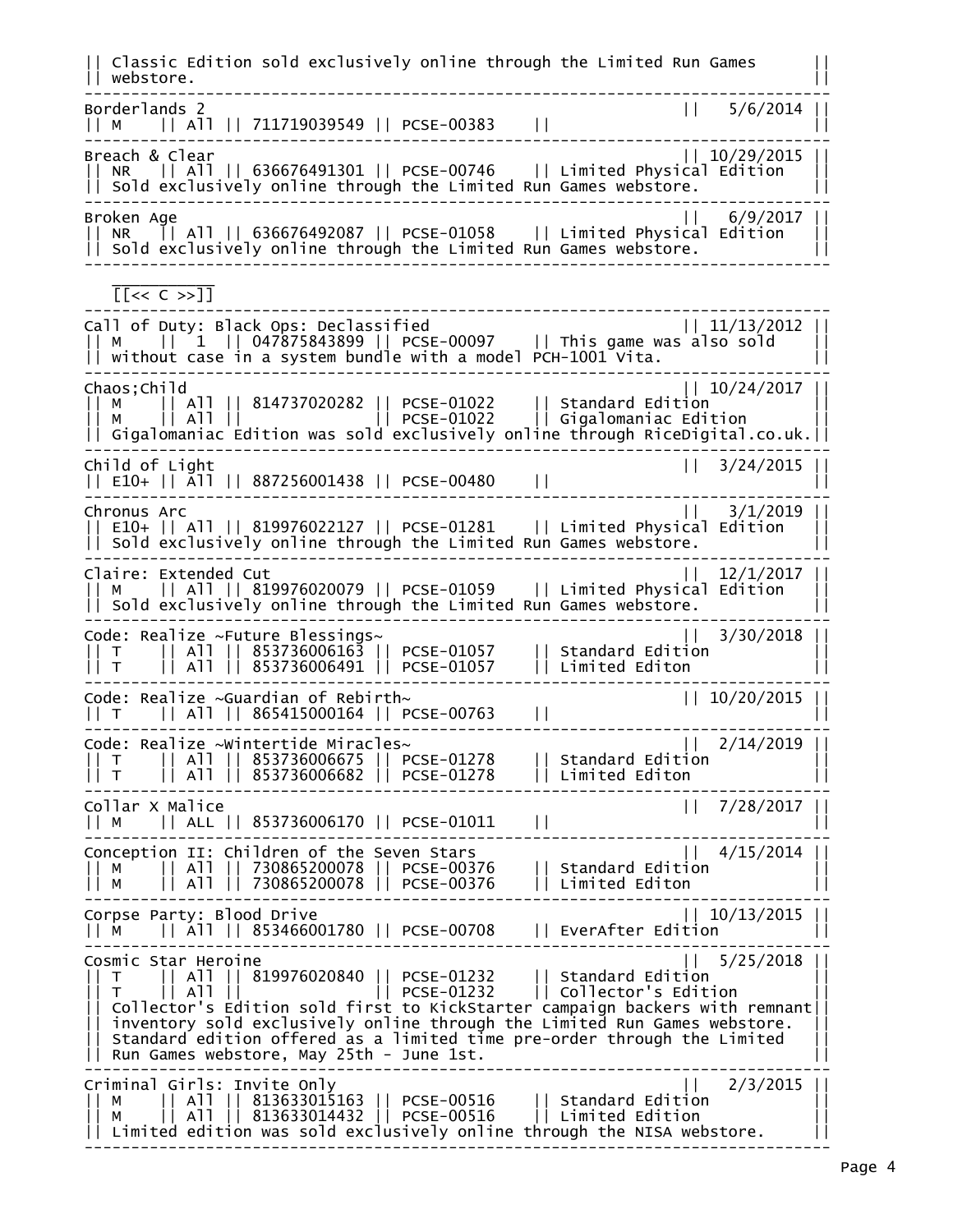|| Classic Edition sold exclusively online through the Limited Run Games || || webstore. || -------------------------------------------------------------------------------- Borderlands 2 || 5/6/2014 || || M || All || 711719039549 || PCSE-00383 || || -------------------------------------------------------------------------------- Breach & Clear || 10/29/2015 || || NR || All || 636676491301 || PCSE-00746 || Limited Physical Edition ||  $| \cdot |$  Sold exclusively online through the Limited Run Games webstore. -------------------------------------------------------------------------------- Broken Age || 6/9/2017 || || NR || All || 636676492087 || PCSE-01058 || Limited Physical Edition ||  $| \ |$  Sold exclusively online through the Limited Run Games webstore. --------------------------------------------------------------------------------  $\frac{1}{2}$  ,  $\frac{1}{2}$  ,  $\frac{1}{2}$  ,  $\frac{1}{2}$  ,  $\frac{1}{2}$  ,  $\frac{1}{2}$  ,  $\frac{1}{2}$  ,  $\frac{1}{2}$  [[<< C >>]] -------------------------------------------------------------------------------- Call of Duty: Black Ops: Declassified || 11/13/2012 || || M || 1 || 047875843899 || PCSE-00097 || This game was also sold || || without case in a system bundle with a model PCH-1001 Vita. || -------------------------------------------------------------------------------- Chaos;Child || 10/24/2017 || || M || All || 814737020282 || PCSE-01022 || Standard Edition || || M || All || || PCSE-01022 || Gigalomaniac Edition || || Gigalomaniac Edition was sold exclusively online through RiceDigital.co.uk.|| -------------------------------------------------------------------------------- Child of Light || 3/24/2015 || || E10+ || All || 887256001438 || PCSE-00480 || || -------------------------------------------------------------------------------- Chronus Arc || 3/1/2019 || || E10+ || All || 819976022127 || PCSE-01281 || Limited Physical Edition || || Sold exclusively online through the Limited Run Games webstore. || -------------------------------------------------------------------------------- Claire: Extended Cut || 12/1/2017 || || M || All || 819976020079 || PCSE-01059 || Limited Physical Edition || || Sold exclusively online through the Limited Run Games webstore. || -------------------------------------------------------------------------------- Code: Realize ~Future Blessings~ || 3/30/2018 || || T || All || 853736006163 || PCSE-01057 || Standard Edition || || T || All || 853736006491 || PCSE-01057 || Limited Editon || -------------------------------------------------------------------------------- Code: Realize ~Guardian of Rebirth~ || 10/20/2015 || || T || All || 865415000164 || PCSE-00763 || || -------------------------------------------------------------------------------- Code: Realize ~Wintertide Miracles~ || 2/14/2019 || || T || All || 853736006675 || PCSE-01278 || Standard Edition || || T || All || 853736006682 || PCSE-01278 || Limited Editon || -------------------------------------------------------------------------------- Collar X Malice || 7/28/2017 || || M || ALL || 853736006170 || PCSE-01011 || || -------------------------------------------------------------------------------- Conception II: Children of the Seven Stars || 4/15/2014 || || M || All || 730865200078 || PCSE-00376 || Standard Edition || || M || All || 730865200078 || PCSE-00376 || Limited Editon || -------------------------------------------------------------------------------- Corpse Party: Blood Drive || 10/13/2015 | || M || All || 853466001780 || PCSE-00708 || EverAfter Edition || -------------------------------------------------------------------------------- Cosmic Star Heroine || 5/25/2018 || || T || All || 819976020840 || PCSE-01232 || Standard Edition || || T || All || || PCSE-01232 || Collector's Edition || || Collector's Edition sold first to KickStarter campaign backers with remnant||  $|\,|$  inventory sold exclusively online through the Limited Run Games webstore. || Standard edition offered as a limited time pre-order through the Limited || || Run Games webstore, May 25th - June 1st. || -------------------------------------------------------------------------------- Criminal Girls: Invite Only || 2/3/2015 || || M || All || 813633015163 || PCSE-00516 || Standard Edition || || M || All || 813633014432 || PCSE-00516 || Limited Edition ||  $\vert\vert$  Limited edition was sold exclusively online through the NISA webstore.  $\vert\vert\vert$ --------------------------------------------------------------------------------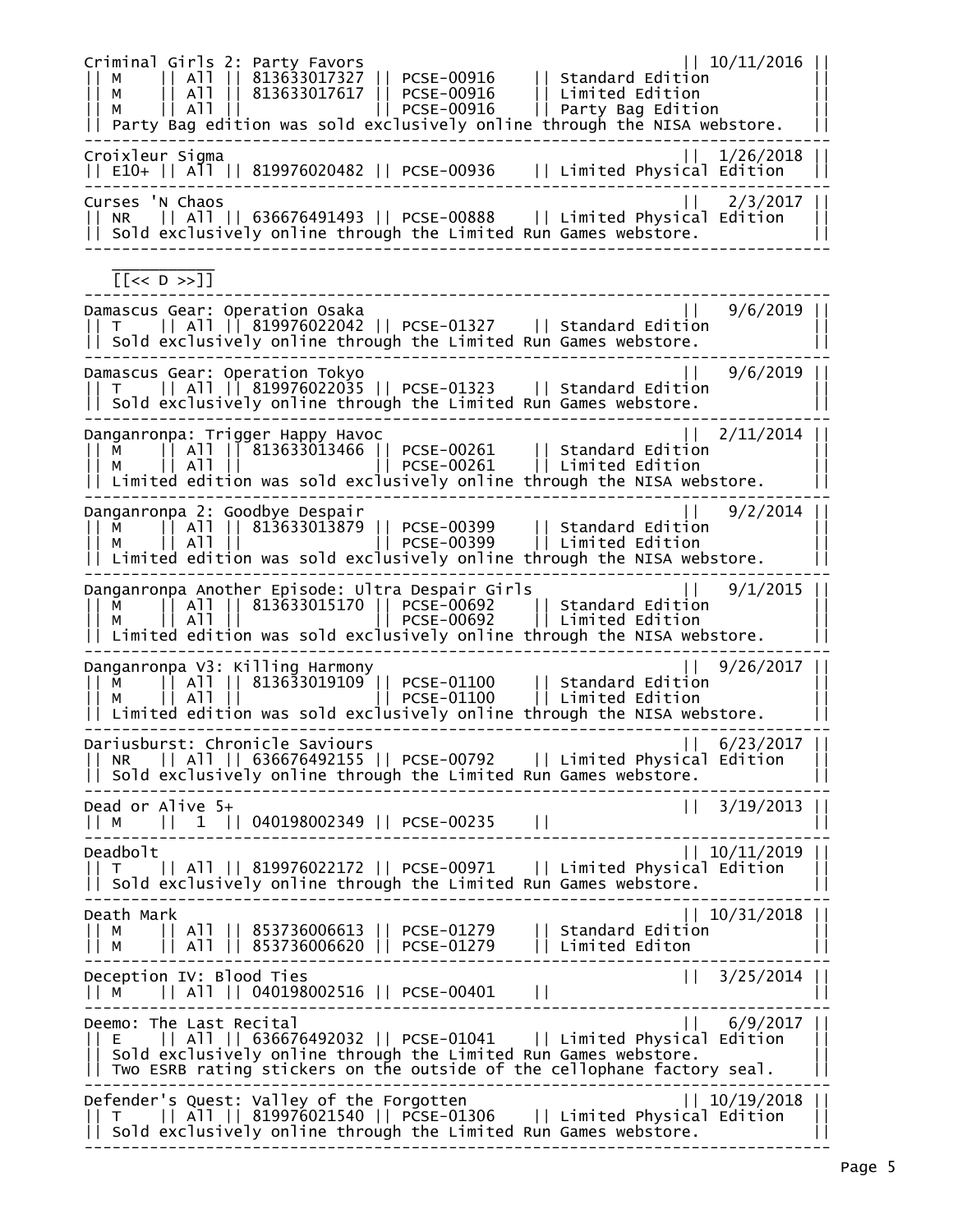Criminal Girls 2: Party Favors || 10/11/2016 || || M || All || 813633017327 || PCSE-00916 || Standard Edition || || M || All || 813633017617 || PCSE-00916 || Limited Edition || || M || All || || PCSE-00916 || Party Bag Edition || || Party Bag edition was sold exclusively online through the NISA webstore. || -------------------------------------------------------------------------------- Croixleur Sigma || 1/26/2018 || || E10+ || All || 819976020482 || PCSE-00936 || Limited Physical Edition || -------------------------------------------------------------------------------- Curses 'N Chaos || 2/3/2017 || || NR || All || 636676491493 || PCSE-00888 || Limited Physical Edition ||  $| \; |$  Sold exclusively online through the Limited Run Games webstore. --------------------------------------------------------------------------------  $\frac{1}{2}$  ,  $\frac{1}{2}$  ,  $\frac{1}{2}$  ,  $\frac{1}{2}$  ,  $\frac{1}{2}$  ,  $\frac{1}{2}$  ,  $\frac{1}{2}$  ,  $\frac{1}{2}$  [[<< D >>]] -------------------------------------------------------------------------------- Damascus Gear: Operation Osaka || 9/6/2019 || || T || All || 819976022042 || PCSE-01327 || Standard Edition || || Sold exclusively online through the Limited Run Games webstore. -------------------------------------------------------------------------------- Damascus Gear: Operation Tokyo || 9/6/2019 || || T || All || 819976022035 || PCSE-01323 || Standard Edition ||  $|$  sold exclusively online through the Limited Run Games webstore. -------------------------------------------------------------------------------- Danganronpa: Trigger Happy Havoc || 2/11/2014 || || M || All || 813633013466 || PCSE-00261 || Standard Edition || || M || All || || PCSE-00261 || Limited Edition ||  $| \, |$  Limited edition was sold exclusively online through the NISA webstore. -------------------------------------------------------------------------------- Danganronpa 2: Goodbye Despair<br>|| M || All || 813633013879 || PCSE-00399 || Standard Edition || M || All || 813633013879 || PCSE-00399 || Limited Edition ||<br>|| M || All || || PCSE-00 || M || All || 813633013879 || PCSE-00399 || Standard Edition || || M || All || || PCSE-00399 || Limited Edition || || Limited edition was sold exclusively online through the NISA webstore. || -------------------------------------------------------------------------------- Danganronpa Another Episode: Ultra Despair Girls || 9/1/2015 || || M || All || 813633015170 || PCSE-00692 || Standard Edition || || M || All || || PCSE-00692 || Limited Edition ||  $|\;|$  Limited edition was sold exclusively online through the NISA webstore. -------------------------------------------------------------------------------- Danganronpa V3: Killing Harmony || M || All || 813633019109 || PCSE-01100 || Standard Edition || || M || All || || PCSE-01100 || Limited Edition ||  $|\hspace{.08cm}$  Limited edition was sold exclusively online through the NISA webstore. -------------------------------------------------------------------------------- Dariusburst: Chronicle Saviours || 6/23/2017 || || NR || All || 636676492155 || PCSE-00792 || Limited Physical Edition ||  $|$  sold exclusively online through the Limited Run Games webstore. --------------------------------------------------------------------------------  $|| 3/19/2013 ||$ || M || 1 || 040198002349 || PCSE-00235 || || -------------------------------------------------------------------------------- Deadbolt || 10/11/2019 || || T || All || 819976022172 || PCSE-00971 || Limited Physical Edition || || Sold exclusively online through the Limited Run Games webstore. -------------------------------------------------------------------------------- Death Mark || 10/31/2018 || || M || All || 853736006613 || PCSE-01279 || Standard Edition || || M || All || 853736006620 || PCSE-01279 || Limited Editon ||  $|| 3/25/2014$ Deception IV: Blood Ties || M || All || 040198002516 || PCSE-00401 || || -------------------------------------------------------------------------------- | 6/9/2017 || 6/9/2017 || Deemo: The Last Recital<br>| E || All || 636676492032 || PCSE-01041 || Limited Physical Edition || All || 636676492032 || PCSE-01041 || Limited Physical Edition  $|$  sold exclusively online through the Limited Run Games webstore. || Two ESRB rating stickers on the outside of the cellophane factory seal. || -------------------------------------------------------------------------------- Defender's Quest: Valley of the Forgotten || 10/19/2018 || || T || All || 819976021540 || PCSE-01306 || Limited Physical Edition ||  $| \cdot |$  Sold exclusively online through the Limited Run Games webstore.  $| \cdot |$ --------------------------------------------------------------------------------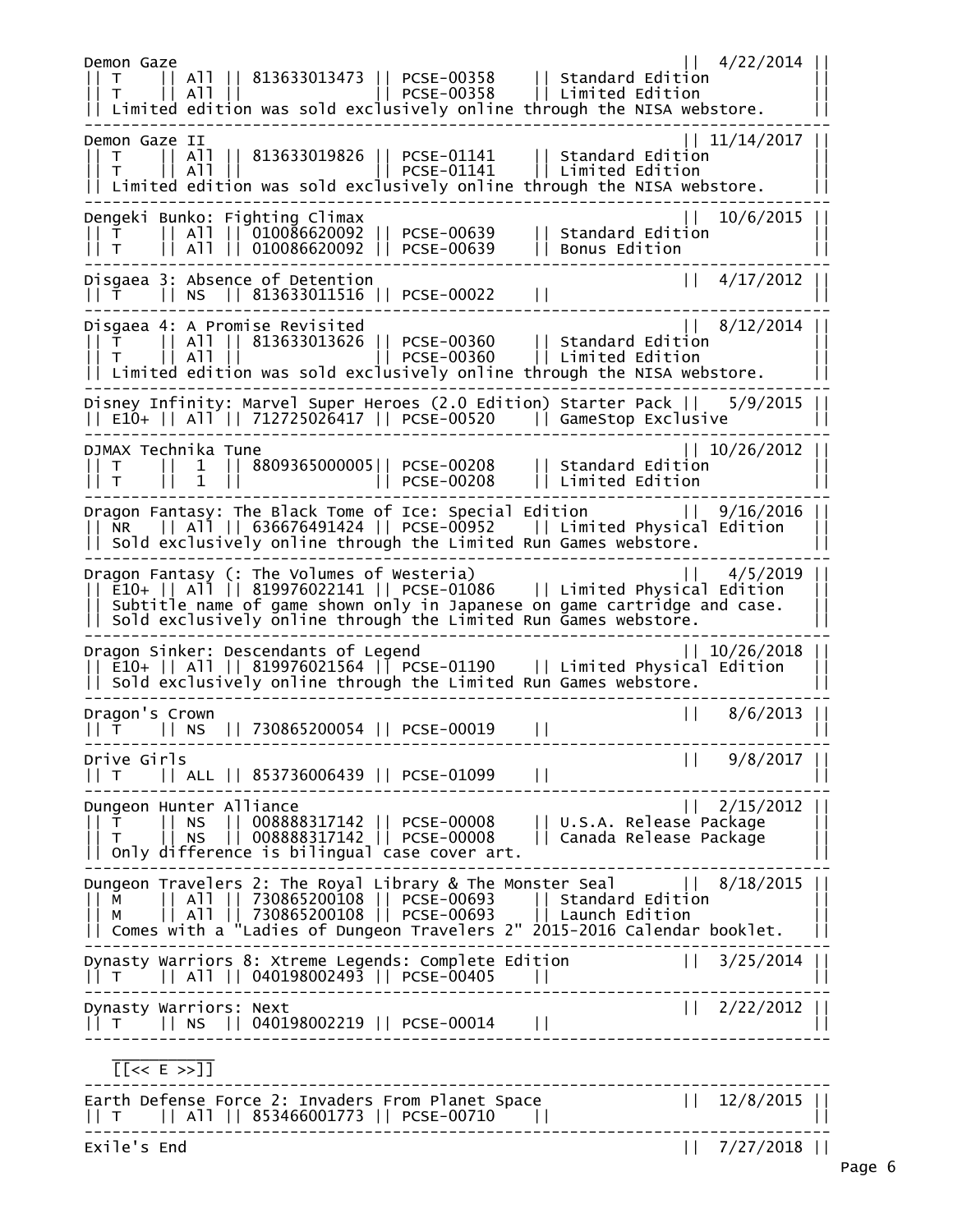Demon Gaze || 4/22/2014 || || T || All || 813633013473 || PCSE-00358 || Standard Edition || || T || All || || PCSE-00358 || Limited Edition ||  $| \, |$  Limited edition was sold exclusively online through the NISA webstore. -------------------------------------------------------------------------------- Demon Gaze II || 11/14/2017 || || T || All || 813633019826 || PCSE-01141 || Standard Edition || || T || All || || PCSE-01141 || Limited Edition || || Limited edition was sold exclusively online through the NISA webstore. || -------------------------------------------------------------------------------- Dengeki Bunko: Fighting Climax || 10/6/2015 || || T || All || 010086620092 || PCSE-00639 || Standard Edition || || T || All || 010086620092 || PCSE-00639 || Bonus Edition || -------------------------------------------------------------------------------- Disgaea 3: Absence of Detention || 4/17/2012 || || T || NS || 813633011516 || PCSE-00022 || || -------------------------------------------------------------------------------- Disgaea 4: A Promise Revisited || T || All || 813633013626 || PCSE-00360 || Standard Edition || || T || All || || PCSE-00360 || Limited Edition ||  $| \, |$  Limited edition was sold exclusively online through the NISA webstore. -------------------------------------------------------------------------------- Disney Infinity: Marvel Super Heroes (2.0 Edition) Starter Pack || 5/9/2015 || || E10+ || All || 712725026417 || PCSE-00520 || GameStop Exclusive || -------------------------------------------------------------------------------- DJMAX Technika Tune || 10/26/2012 || || T || 1 || 8809365000005|| PCSE-00208 || Standard Edition || || T || 1 || || PCSE-00208 || Limited Edition || -------------------------------------------------------------------------------- Dragon Fantasy: The Black Tome of Ice: Special Edition || 9/16/2016 || || NR || All || 636676491424 || PCSE-00952 || Limited Physical Edition || || Sold exclusively online through the Limited Run Games webstore. || -------------------------------------------------------------------------------- Dragon Fantasy (: The Volumes of Westeria) || 4/5/2019 || || E10+ || All || 819976022141 || PCSE-01086 || Limited Physical Edition || || Subtitle name of game shown only in Japanese on game cartridge and case. ||  $| \; |$  Sold exclusively online through the Limited Run Games webstore. -------------------------------------------------------------------------------- Dragon Sinker: Descendants of Legend || 10/26/2018 || || E10+ || All || 819976021564 || PCSE-01190 || Limited Physical Edition || || Sold exclusively online through the Limited Run Games webstore. || -------------------------------------------------------------------------------- Dragon's Crown || 8/6/2013 || || T || NS || 730865200054 || PCSE-00019 || || -------------------------------------------------------------------------------- | 9/8/2017 || T || ALL || 853736006439 || PCSE-01099 || || -------------------------------------------------------------------------------- Dungeon Hunter Alliance || 2/15/2012 || || T || NS || 008888317142 || PCSE-00008 || U.S.A. Release Package || || T || NS || 008888317142 || PCSE-00008 || Canada Release Package ||  $|\;|$  Only difference is bilingual case cover art.  $|\;|$ -------------------------------------------------------------------------------- Dungeon Travelers 2: The Royal Library & The Monster Seal || 8/18/2015 || || M || All || 730865200108 || PCSE-00693 || Standard Edition || || M || All || 730865200108 || PCSE-00693 || Launch Edition || || Comes with a "Ladies of Dungeon Travelers 2" 2015-2016 Calendar booklet. || -------------------------------------------------------------------------------- Dynasty Warriors 8: Xtreme Legends: Complete Edition || 3/25/2014 || || T || All || 040198002493 || PCSE-00405 || || -------------------------------------------------------------------------------- Dynasty Warriors: Next || 2/22/2012 || || T || NS || 040198002219 || PCSE-00014 || || --------------------------------------------------------------------------------  $\frac{1}{2}$  ,  $\frac{1}{2}$  ,  $\frac{1}{2}$  ,  $\frac{1}{2}$  ,  $\frac{1}{2}$  ,  $\frac{1}{2}$  ,  $\frac{1}{2}$  ,  $\frac{1}{2}$  [[<< E >>]] -------------------------------------------------------------------------------- Earth Defense Force 2: Invaders From Planet Space || 12/8/2015 || || T || All || 853466001773 || PCSE-00710 || || -------------------------------------------------------------------------------- Exile's End || 7/27/2018 ||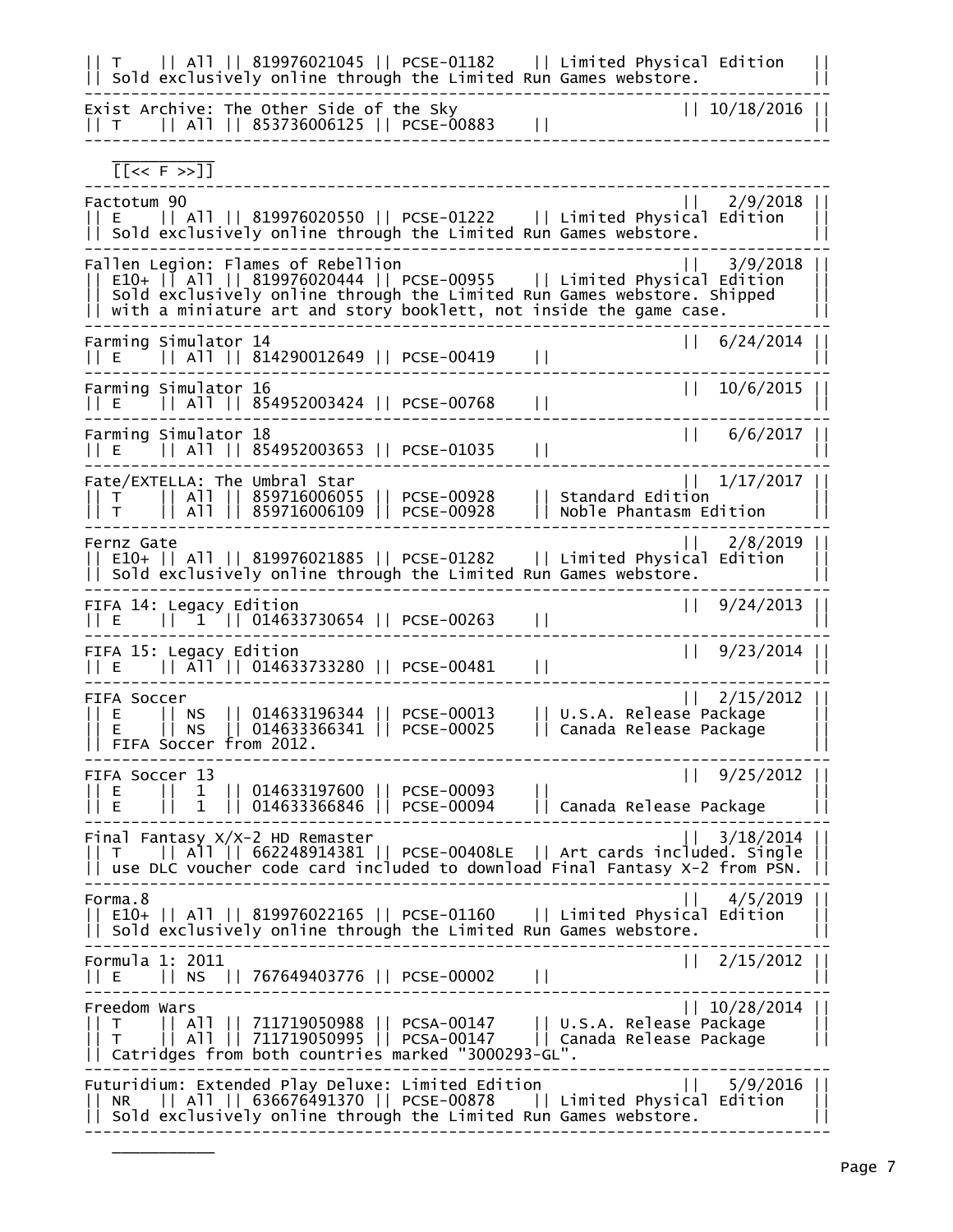| All    819976021045    PCSE-01182    Limited Physical Edition<br>T.<br>   Sold exclusively online through the Limited Run Games webstore.                                                                                                                                                                |  |
|----------------------------------------------------------------------------------------------------------------------------------------------------------------------------------------------------------------------------------------------------------------------------------------------------------|--|
| Exist Archive: The Other Side of the Sky<br>   10/18/2016<br>$   T    A11    853736006125    PCSE-00883$<br>$\mathsf{L}$                                                                                                                                                                                 |  |
| $[ F \rightarrow ]$                                                                                                                                                                                                                                                                                      |  |
| Factotum 90<br>2/9/2018<br>$\mathbf{L}$<br>   E       All    819976020550    PCSE-01222       Limited Physical Edition<br>Sold exclusively online through the Limited Run Games webstore.                                                                                                                |  |
| Fallen Legion: Flames of Rebellion<br>3/9/2018<br>$E10+$   $\overline{$ All   819976020444     PCSE-00955     Limited Physical Edition<br>sold exclusively online through the Limited Run Games webstore. Shipped<br>$\left  \right $ with a miniature art and story booklett, not inside the game case. |  |
| Farming Simulator 14<br>   6/24/2014<br>$  E $    All    814290012649    PCSE-00419<br>$\mathsf{L}$                                                                                                                                                                                                      |  |
| Farming Simulator 16<br>10/6/2015<br>$\mathbf{H}$<br>$  E \n    A11   854952003424   PCSE-00768$<br>$\vert \vert$                                                                                                                                                                                        |  |
| Farming Simulator 18<br>   6/6/2017   <br>$  E $    All    854952003653    PCSE-01035<br>$\perp$                                                                                                                                                                                                         |  |
| Fate/EXTELLA: The Umbral Star<br>$1/17/2017$  <br>$  $ T $  $ All $  $ 859716006055 $  $ PCSE-00928<br>Standard Edition<br>Noble Phantasm Edition<br>   All    859716006109    PCSE-00928<br>T                                                                                                           |  |
| $11 \t2/8/2019$<br>Fernz Gate<br>E10+    All    819976021885    PCSE-01282    Limited Physical Edition<br>   Sold exclusively online through the Limited Run Games webstore.                                                                                                                             |  |
| 9/24/2013<br>FIFA 14: Legacy Edition<br>$\Box$<br>$  E  1 1  014633730654  PCSE-00263$<br>$\perp$                                                                                                                                                                                                        |  |
| 9/23/2014<br>FIFA 15: Legacy Edition<br>$  E  \overline{A}11  014633733280  PCSE-00481$<br>$\mathsf{L}$                                                                                                                                                                                                  |  |
| 2/15/2012<br>FIFA Soccer<br>   014633196344    PCSE-00013<br>U.S.A. Release Package<br>E.<br>IINS<br>   Canada Release Package<br>$   014633366341    PCSE-00025$<br>NS.<br>E.<br>FIFA Soccer from 2012.                                                                                                 |  |
| 9/25/2012   <br>FIFA Soccer 13<br>$   014633197600    PCSE-00093$<br>E.<br>1<br>   014633366846    PCSE-00094    Canada Release Package<br>1                                                                                                                                                             |  |
| 3/18/2014<br>Final Fantasy X/X-2 HD Remaster<br>   T    All    662248914381    PCSE-00408LE    Art cards included. Single<br>   use DLC voucher code card included to download Final Fantasy X-2 from PSN.                                                                                               |  |
| Forma.8<br>4/5/2019   <br>   E10+    All    819976022165    PCSE-01160    Limited Physical Edition<br>   Sold exclusively online through the Limited Run Games webstore.                                                                                                                                 |  |
| Formula 1: 2011<br>   2/15/2012<br>   NS    767649403776    PCSE-00002<br>$\perp$<br>11 E                                                                                                                                                                                                                |  |
| Freedom Wars<br>   10/28/2014<br>   All    711719050988    PCSA-00147      U.S.A. Release Package<br>   All    711719050995    PCSA-00147      Canada Release Package<br>$\top$<br>$\top$<br>   Catridges from both countries marked "3000293-GL".                                                       |  |
| Futuridium: Extended Play Deluxe: Limited Edition<br>$5/9/2016$  <br>$\Box$<br>   All    636676491370    PCSE-00878      Limited Physical Edition<br>NR.<br>   Sold exclusively online through the Limited Run Games webstore.                                                                           |  |

 $\frac{1}{2}$  ,  $\frac{1}{2}$  ,  $\frac{1}{2}$  ,  $\frac{1}{2}$  ,  $\frac{1}{2}$  ,  $\frac{1}{2}$  ,  $\frac{1}{2}$  ,  $\frac{1}{2}$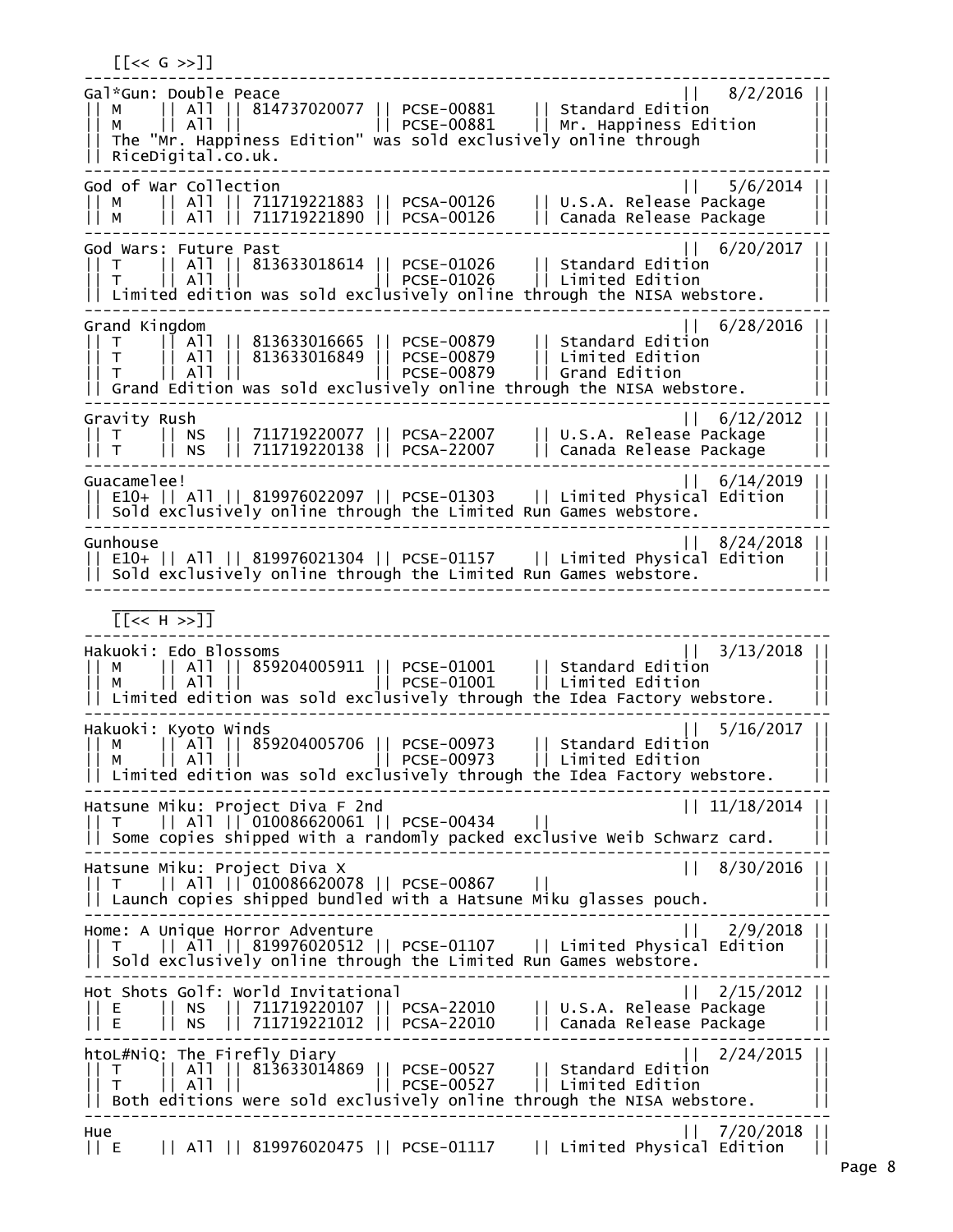$\lfloor \cdot \rfloor \leq C \leq S \leq 1$ -------------------------------------------------------------------------------- Gal\*Gun: Double Peace || 8/2/2016 || || M || All || 814737020077 || PCSE-00881 || Standard Edition || || M || All || || PCSE-00881 || Mr. Happiness Edition || || The "Mr. Happiness Edition" was sold exclusively online through || || RiceDigital.co.uk. || -------------------------------------------------------------------------------- God of War Collection<br>|| M || All || 7117 || M || All || 711719221883 || PCSA-00126 || U.S.A. Release Package || || M || All || 711719221890 || PCSA-00126 || Canada Release Package || -------------------------------------------------------------------------------- God Wars: Future Past || 6/20/2017 | || T || All || 813633018614 || PCSE-01026 || Standard Edition || || T || All || || PCSE-01026 || Limited Edition || || Limited edition was sold exclusively online through the NISA webstore. || -------------------------------------------------------------------------------- Grand Kingdom || 6/28/2016 || || T || All || 813633016665 || PCSE-00879 || Standard Edition || || T || All || 813633016849 || PCSE-00879 || Limited Edition || || T || All || || PCSE-00879 || Grand Edition || || Grand Edition was sold exclusively online through the NISA webstore. || -------------------------------------------------------------------------------- Gravity Rush || 6/12/2012 || || T || NS || 711719220077 || PCSA-22007 || U.S.A. Release Package || || T || NS || 711719220138 || PCSA-22007 || Canada Release Package || -------------------------------------------------------------------------------- Guacamelee! || 6/14/2019 || || E10+ || All || 819976022097 || PCSE-01303 || Limited Physical Edition ||  $|$  Sold exclusively online through the Limited Run Games webstore. -------------------------------------------------------------------------------- Gunhouse || 8/24/2018 || || E10+ || All || 819976021304 || PCSE-01157 || Limited Physical Edition ||  $|$  sold exclusively online through the Limited Run Games webstore. --------------------------------------------------------------------------------  $\frac{1}{2}$  ,  $\frac{1}{2}$  ,  $\frac{1}{2}$  ,  $\frac{1}{2}$  ,  $\frac{1}{2}$  ,  $\frac{1}{2}$  ,  $\frac{1}{2}$  ,  $\frac{1}{2}$  [[<< H >>]] -------------------------------------------------------------------------------- Hakuoki: Edo Blossoms || 3/13/2018 || || M || All || 859204005911 || PCSE-01001 || Standard Edition || || M || All || || PCSE-01001 || Limited Edition || || Limited edition was sold exclusively through the Idea Factory webstore. || -------------------------------------------------------------------------------- Hakuoki: Kyoto Winds || 5/16/2017 || || M || All || 859204005706 || PCSE-00973 || Standard Edition || || M || All || || PCSE-00973 || Limited Edition || || Limited edition was sold exclusively through the Idea Factory webstore. -------------------------------------------------------------------------------- Hatsune Miku: Project Diva F 2nd || 11/18/2014 || || T || All || 010086620061 || PCSE-00434 || || || Some copies shipped with a randomly packed exclusive Weib Schwarz card. || -------------------------------------------------------------------------------- Hatsune Miku: Project Diva X || 8/30/2016 || || T || All || 010086620078 || PCSE-00867 || || || Launch copies shipped bundled with a Hatsune Miku glasses pouch. || -------------------------------------------------------------------------------- Home: A Unique Horror Adventure || 2/9/2018 || || T || All || 819976020512 || PCSE-01107 || Limited Physical Edition || || Sold exclusively online through the Limited Run Games webstore. || -------------------------------------------------------------------------------- Hot Shots Golf: World Invitational || E || NS || 711719220107 || PCSA-22010 || U.S.A. Release Package || || E || NS || 711719221012 || PCSA-22010 || Canada Release Package || ------------------------------------------------------------------------------- htoL#NiQ: The Firefly Diary || 2/24/2015 || || T || All || 813633014869 || PCSE-00527 || Standard Edition || || T || All || || PCSE-00527 || Limited Edition ||  $|\mid$  T  $\mid$  | All ||  $\mid$  || PCSE-00527  $\mid$  | Limited Edition<br>|| Both editions were sold exclusively online through the NISA webstore. -------------------------------------------------------------------------------- Hue || 7/20/2018 || || E || All || 819976020475 || PCSE-01117 || Limited Physical Edition ||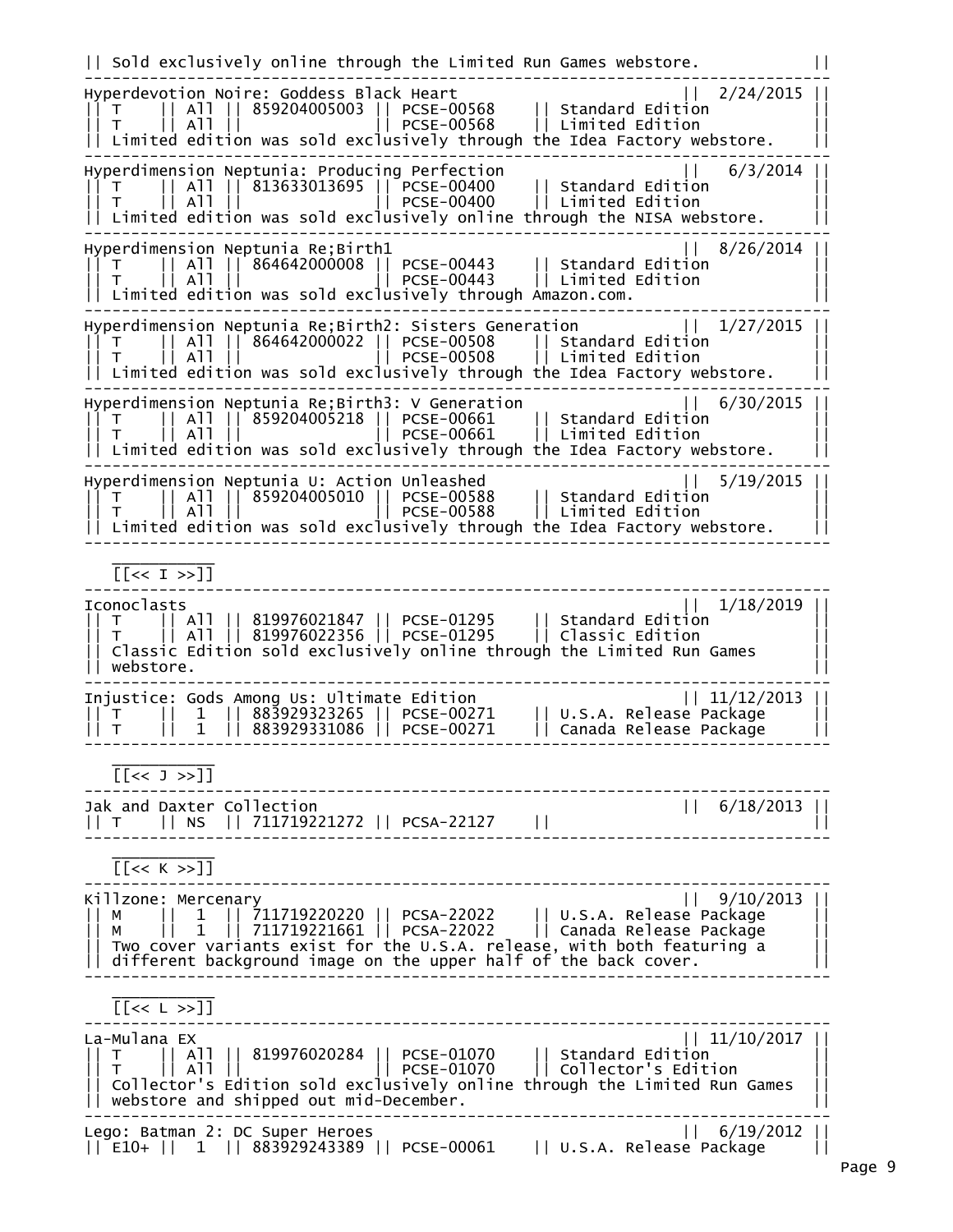|| Sold exclusively online through the Limited Run Games webstore. || -------------------------------------------------------------------------------- Hyperdevotion Noire: Goddess Black Heart || T || All || 859204005003 || PCSE-00568 || Standard Edition || || T || All || || PCSE-00568 || Limited Edition ||  $| \, |$  Limited edition was sold exclusively through the Idea Factory webstore. -------------------------------------------------------------------------------- Hyperdimension Neptunia: Producing Perfection || 6/3/2014 || || T || All || 813633013695 || PCSE-00400 || Standard Edition || || T || All || || PCSE-00400 || Limited Edition ||  $|\hspace{.08cm}$  Limited edition was sold exclusively online through the NISA webstore. -------------------------------------------------------------------------------- Hyperdimension Neptunia Re;Birth1<br>|| T || All || 864642000008 || PCSE-00443 || Standard Edition<br>|| T || All || || PCSE-00443 || Limited Edition || T || All || 864642000008 || PCSE-00443 || Standard Edition || || T || All || || PCSE-00443 || Limited Edition || || Limited edition was sold exclusively through Amazon.com. || -------------------------------------------------------------------------------- Hyperdimension Neptunia Re;Birth2: Sisters Generation || 1/27/2015 | || T || All || 864642000022 || PCSE-00508 || Standard Edition || || T || All || || PCSE-00508 || Limited Edition ||  $| \, |$  Limited edition was sold exclusively through the Idea Factory webstore. -------------------------------------------------------------------------------- Hyperdimension Neptunia Re;Birth3: V Generation || 6/30/2015 | || T || All || 859204005218 || PCSE-00661 || Standard Edition || || T || All || || PCSE-00661 || Limited Edition ||  $| \, |$  Limited edition was sold exclusively through the Idea Factory webstore. -------------------------------------------------------------------------------- Hyperdimension Neptunia U: Action Unleashed || T || All || 859204005010 || PCSE-00588 || Standard Edition || || T || All || || PCSE-00588 || Limited Edition ||  $|\;|$  Limited edition was sold exclusively through the Idea Factory webstore. --------------------------------------------------------------------------------  $\frac{1}{2}$  ,  $\frac{1}{2}$  ,  $\frac{1}{2}$  ,  $\frac{1}{2}$  ,  $\frac{1}{2}$  ,  $\frac{1}{2}$  ,  $\frac{1}{2}$  ,  $\frac{1}{2}$  [[<< I >>]] -------------------------------------------------------------------------------- Iconoclasts || 1/18/2019 || || T || All || 819976021847 || PCSE-01295 || Standard Edition || || T || All || 819976022356 || PCSE-01295 || Classic Edition || || Classic Edition sold exclusively online through the Limited Run Games || || webstore. || -------------------------------------------------------------------------------- Injustice: Gods Among Us: Ultimate Edition || 11/12/2013 || || T || 1 || 883929323265 || PCSE-00271 || U.S.A. Release Package || || T || 1 || 883929331086 || PCSE-00271 || Canada Release Package || --------------------------------------------------------------------------------  $\frac{1}{2}$  ,  $\frac{1}{2}$  ,  $\frac{1}{2}$  ,  $\frac{1}{2}$  ,  $\frac{1}{2}$  ,  $\frac{1}{2}$  ,  $\frac{1}{2}$  ,  $\frac{1}{2}$  $[ [ \langle \langle 1 \rangle \rangle ] ]$ -------------------------------------------------------------------------------- Jak and Daxter Collection  $\vert\vert$  6/18/2013 || || T || NS || 711719221272 || PCSA-22127 || || --------------------------------------------------------------------------------  $\frac{1}{2}$  ,  $\frac{1}{2}$  ,  $\frac{1}{2}$  ,  $\frac{1}{2}$  ,  $\frac{1}{2}$  ,  $\frac{1}{2}$  ,  $\frac{1}{2}$  ,  $\frac{1}{2}$  $[< < K > >]$ ] -------------------------------------------------------------------------------- Killzone: Mercenary || 9/10/2013 || || M || 1 || 711719220220 || PCSA-22022 || U.S.A. Release Package || || M || 1 || 711719221661 || PCSA-22022 || Canada Release Package || || Two cover variants exist for the U.S.A. release, with both featuring a || || different background image on the upper half of the back cover.  $\vert\,\vert$ --------------------------------------------------------------------------------  $\frac{1}{2}$  ,  $\frac{1}{2}$  ,  $\frac{1}{2}$  ,  $\frac{1}{2}$  ,  $\frac{1}{2}$  ,  $\frac{1}{2}$  ,  $\frac{1}{2}$  ,  $\frac{1}{2}$  $[ [ \langle \langle L \rangle \rangle ] ]$ -------------------------------------------------------------------------------- La-Mulana EX || 11/10/2017 || || T || All || 819976020284 || PCSE-01070 || Standard Edition || || T || All || || PCSE-01070 || Collector's Edition || || Collector's Edition sold exclusively online through the Limited Run Games || || webstore and shipped out mid-December. || -------------------------------------------------------------------------------- Lego: Batman 2: DC Super Heroes || 6/19/2012 || || E10+ || 1 || 883929243389 || PCSE-00061 || U.S.A. Release Package ||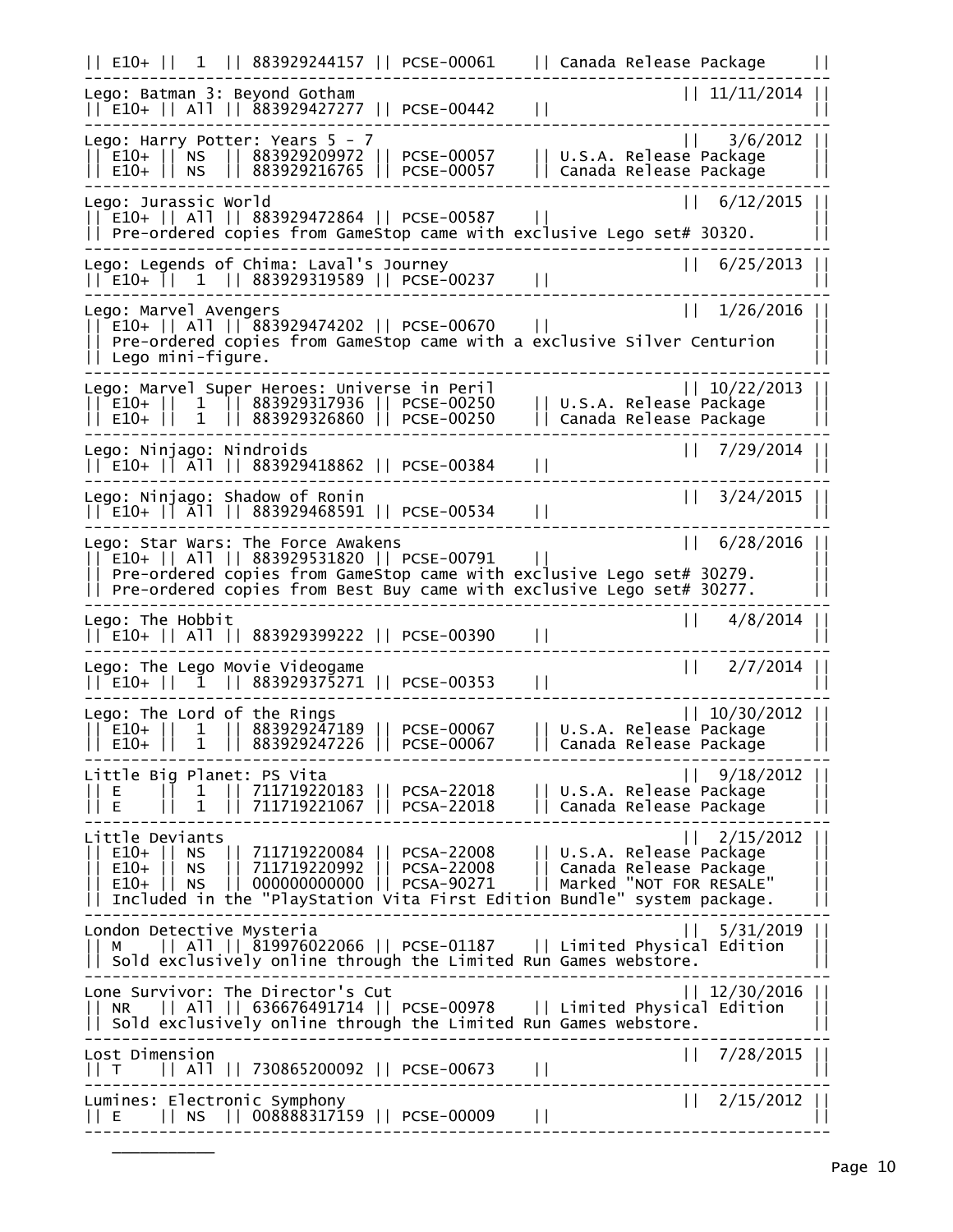|| E10+ || 1 || 883929244157 || PCSE-00061 || Canada Release Package || -------------------------------------------------------------------------------- Lego: Batman 3: Beyond Gotham || 11/11/2014 || || E10+ || All || 883929427277 || PCSE-00442 || || -------------------------------------------------------------------------------- Lego: Harry Potter: Years 5 - 7 || 3/6/2012 || || E10+ || NS || 883929209972 || PCSE-00057 || U.S.A. Release Package || || E10+ || NS || 883929216765 || PCSE-00057 || Canada Release Package || -------------------------------------------------------------------------------- Lego: Jurassic World || 6/12/2015 || || E10+ || All || 883929472864 || PCSE-00587 || || || Pre-ordered copies from GameStop came with exclusive Lego set# 30320. || -------------------------------------------------------------------------------- Lego: Legends of Chima: Laval's Journey || 6/25/2013 || || E10+ || 1 || 883929319589 || PCSE-00237 || || -------------------------------------------------------------------------------- Lego: Marvel Avengers || 1/26/2016 || || E10+ || All || 883929474202 || PCSE-00670 || || || Pre-ordered copies from GameStop came with a exclusive Silver Centurion || || Lego mini-figure. || -------------------------------------------------------------------------------- Lego: Marvel Super Heroes: Universe in Peril || 10/22/2013 || || E10+ || 1 || 883929317936 || PCSE-00250 || U.S.A. Release Package || || E10+ || 1 || 883929326860 || PCSE-00250 || Canada Release Package || -------------------------------------------------------------------------------- Lego: Ninjago: Nindroids || 7/29/2014 || || E10+ || All || 883929418862 || PCSE-00384 || || -------------------------------------------------------------------------------- Lego: Ninjago: Shadow of Ronin || 3/24/2015 || || E10+ || All || 883929468591 || PCSE-00534 || || -------------------------------------------------------------------------------- Lego: Star Wars: The Force Awakens || 6/28/2016 || || E10+ || All || 883929531820 || PCSE-00791 || || || Pre-ordered copies from GameStop came with exclusive Lego set# 30279. || || Pre-ordered copies from Best Buy came with exclusive Lego set# 30277. || -------------------------------------------------------------------------------- Lego: The Hobbit || 4/8/2014 || || E10+ || All || 883929399222 || PCSE-00390 || || -------------------------------------------------------------------------------- Lego: The Lego Movie Videogame || 2/7/2014 || || E10+ || 1 || 883929375271 || PCSE-00353 || || -------------------------------------------------------------------------------- Lego: The Lord of the Rings || 10/30/2012 || || E10+ || 1 || 883929247189 || PCSE-00067 || U.S.A. Release Package || || E10+ || 1 || 883929247226 || PCSE-00067 || Canada Release Package || -------------------------------------------------------------------------------- Little Big Planet: PS Vita || 9/18/2012 || || E || 1 || 711719220183 || PCSA-22018 || U.S.A. Release Package || || E || 1 || 711719221067 || PCSA-22018 || Canada Release Package || -------------------------------------------------------------------------------- Little Deviants || 2/15/2012 || || E10+ || NS || 711719220084 || PCSA-22008 || U.S.A. Release Package || || E10+ || NS || 711719220992 || PCSA-22008 || Canada Release Package || || E10+ || NS || 000000000000 || PCSA-90271 || Marked "NOT FOR RESALE" || || Included in the "PlayStation Vita First Edition Bundle" system package. || -------------------------------------------------------------------------------- London Detective Mysteria || 5/31/2019 || || M || All || 819976022066 || PCSE-01187 || Limited Physical Edition || || Sold exclusively online through the Limited Run Games webstore. || -------------------------------------------------------------------------------- Lone Survivor: The Director's Cut || 12/30/2016 || || NR || All || 636676491714 || PCSE-00978 || Limited Physical Edition || || Sold exclusively online through the Limited Run Games webstore. || -------------------------------------------------------------------------------- Lost Dimension || 7/28/2015 || || T || All || 730865200092 || PCSE-00673 || || -------------------------------------------------------------------------------- Lumines: Electronic Symphony || 2/15/2012 || || E || NS || 008888317159 || PCSE-00009 || || --------------------------------------------------------------------------------

 $\frac{1}{2}$  ,  $\frac{1}{2}$  ,  $\frac{1}{2}$  ,  $\frac{1}{2}$  ,  $\frac{1}{2}$  ,  $\frac{1}{2}$  ,  $\frac{1}{2}$  ,  $\frac{1}{2}$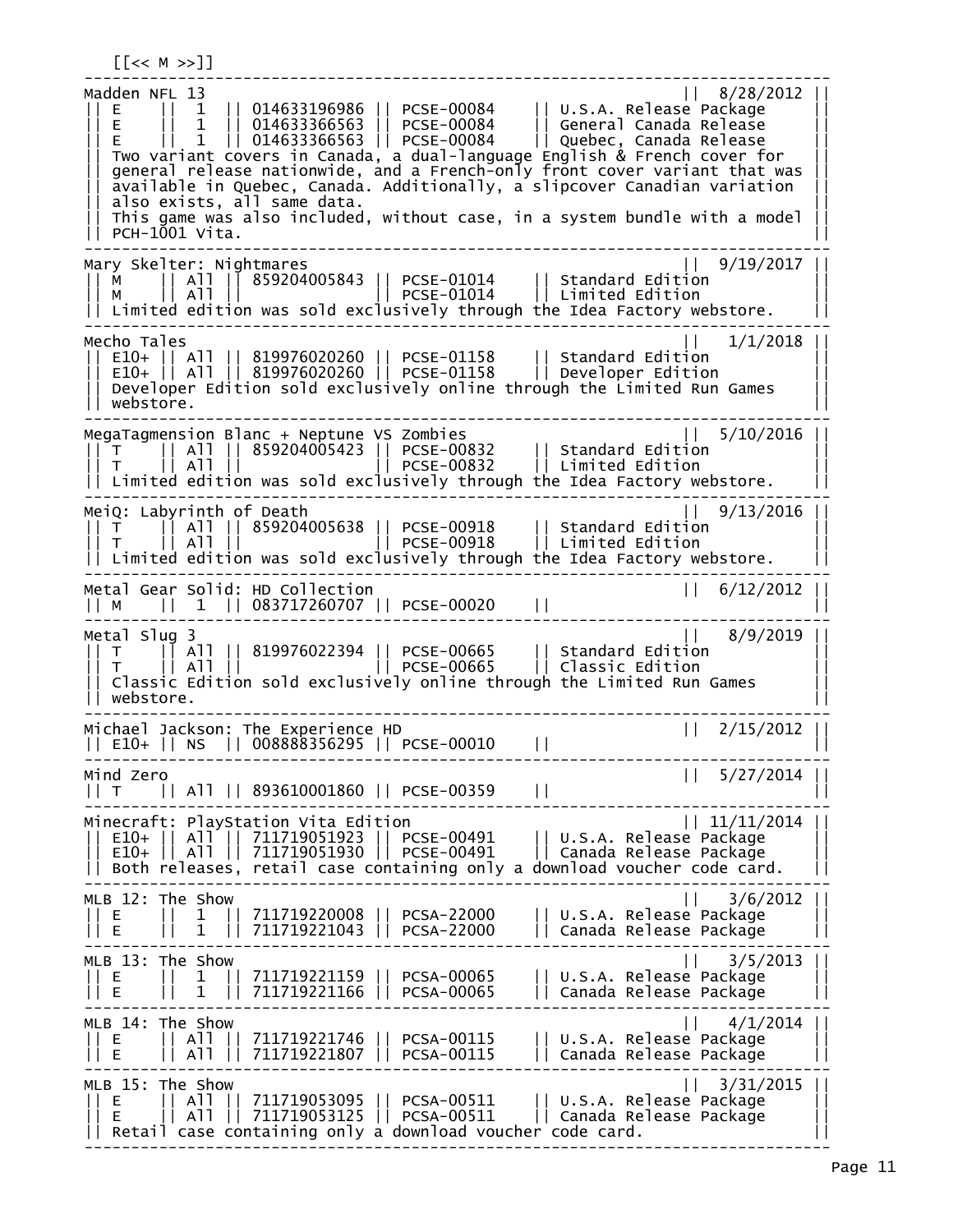-------------------------------------------------------------------------------- <code>Madden NFL 13</code>  $|\;|$  8/28/2012  $|\;|$ || E || 1 || 014633196986 || PCSE-00084 || U.S.A. Release Package || || E || 1 || 014633366563 || PCSE-00084 || General Canada Release || || E || 1 || 014633366563 || PCSE-00084 || Quebec, Canada Release || || Two variant covers in Canada, a dual-language English & French cover for || || general release nationwide, and a French-only front cover variant that was || || available in Quebec, Canada. Additionally, a slipcover Canadian variation || || also exists, all same data. || also exists, all same data.<br>This game was also included, without case, in a system bundle with a model || PCH-1001 Vita. || -------------------------------------------------------------------------------- Mary Skelter: Nightmares || 9/19/2017 || || M || All || 859204005843 || PCSE-01014 || Standard Edition || || M || All || || PCSE-01014 || Limited Edition ||  $|\dot|$  Limited edition was sold exclusively through the Idea Factory webstore. -------------------------------------------------------------------------------- Mecho Tales || 1/1/2018 || || E10+ || All || 819976020260 || PCSE-01158 || Standard Edition || || E10+ || All || 819976020260 || PCSE-01158 || Developer Edition ||  $| \, |$  Developer Edition sold exclusively online through the Limited Run Games || webstore. || -------------------------------------------------------------------------------- MegaTagmension Blanc + Neptune VS Zombies || 5/10/2016 || || T || All || 859204005423 || PCSE-00832 || Standard Edition || || T || All || || PCSE-00832 || Limited Edition || || Limited edition was sold exclusively through the Idea Factory webstore. || -------------------------------------------------------------------------------- MeiQ: Labyrinth of Death || 9/13/2016 || || T || All || 859204005638 || PCSE-00918 || Standard Edition || || T || All || || PCSE-00918 || Limited Edition || || Limited edition was sold exclusively through the Idea Factory webstore. || -------------------------------------------------------------------------------- Metal Gear Solid: HD Collection || 6/12/2012 || || M || 1 || 083717260707 || PCSE-00020 || || -------------------------------------------------------------------------------- Metal Slug 3 || 8/9/2019 || || T || All || 819976022394 || PCSE-00665 || Standard Edition || || T || All || || PCSE-00665 || Classic Edition ||  $|\;|$  Classic Edition sold exclusively online through the Limited Run Games || webstore. || -------------------------------------------------------------------------------- Michael Jackson: The Experience HD || E10+ || NS || 008888356295 || PCSE-00010 || || -------------------------------------------------------------------------------- Mind Zero || 5/27/2014 || 5/27/2014 || 5/27/2014 || 5/27/2014 || 5/27/2014 || 5/27/2014 || 5 || T || All || 893610001860 || PCSE-00359 || || -------------------------------------------------------------------------------- Minecraft: PlayStation Vita Edition || 11/11/2014 || || E10+ || All || 711719051923 || PCSE-00491 || U.S.A. Release Package || || E10+ || All || 711719051930 || PCSE-00491 || Canada Release Package || || Both releases, retail case containing only a download voucher code card. || -------------------------------------------------------------------------------- MLB 12: The Show || 3/6/2012 || || E || 1 || 711719220008 || PCSA-22000 || U.S.A. Release Package || || E || 1 || 711719221043 || PCSA-22000 || Canada Release Package || -------------------------------------------------------------------------------- MLB 13: The Show || 3/5/2013 || || E || 1 || 711719221159 || PCSA-00065 || U.S.A. Release Package || || E || 1 || 711719221166 || PCSA-00065 || Canada Release Package || -------------------------------------------------------------------------------- MLB 14: The Show || 4/1/2014 || || E || All || 711719221746 || PCSA-00115 || U.S.A. Release Package || || E || All || 711719221807 || PCSA-00115 || Canada Release Package || -------------------------------------------------------------------------------- MLB 15: The Show || 3/31/2015 || || E || All || 711719053095 || PCSA-00511 || U.S.A. Release Package || || E || All || 711719053125 || PCSA-00511 || Canada Release Package || || Retail case containing only a download voucher code card. ||

--------------------------------------------------------------------------------

 $[$ [<< M >>]]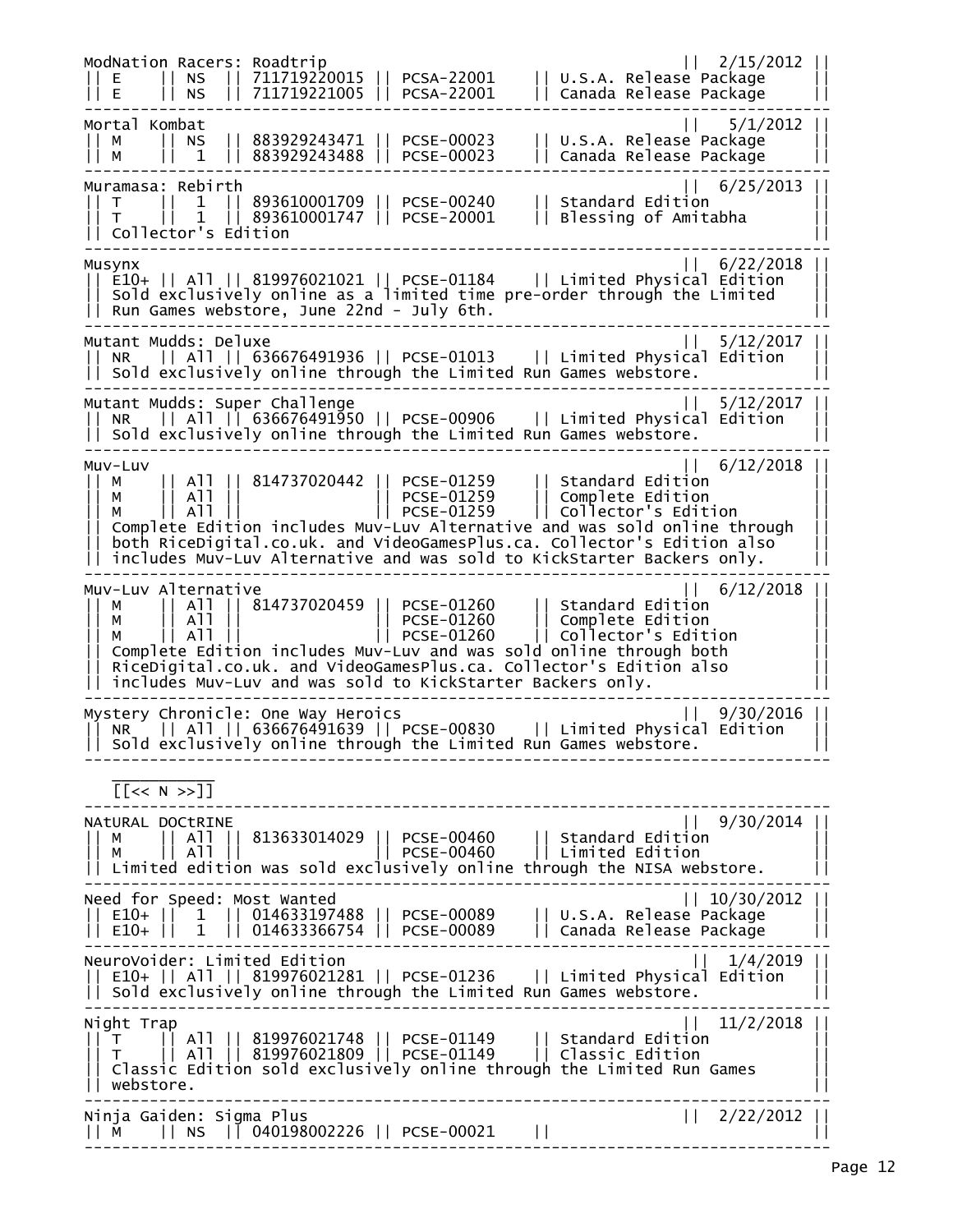ModNation Racers: Roadtrip || 2/15/2012 || || E || NS || 711719220015 || PCSA-22001 || U.S.A. Release Package || || E || NS || 711719221005 || PCSA-22001 || Canada Release Package || -------------------------------------------------------------------------------- Mortal Kombat || 5/1/2012 || || M || NS || 883929243471 || PCSE-00023 || U.S.A. Release Package || || M || 1 || 883929243488 || PCSE-00023 || Canada Release Package || -------------------------------------------------------------------------------- Muramasa: Rebirth || 6/25/2013 || || T || 1 || 893610001709 || PCSE-00240 || Standard Edition || || T || 1 || 893610001747 || PCSE-20001 || Blessing of Amitabha || || Collector's Edition || -------------------------------------------------------------------------------- Musynx || 6/22/2018 || || E10+ || All || 819976021021 || PCSE-01184 || Limited Physical Edition || || Sold exclusively online as a limited time pre-order through the Limited || || Run Games webstore, June 22nd - July 6th. || -------------------------------------------------------------------------------- Mutant Mudds: Deluxe || 5/12/2017 || || NR || All || 636676491936 || PCSE-01013 || Limited Physical Edition ||  $| \, |$  Sold exclusively online through the Limited Run Games webstore. -------------------------------------------------------------------------------- Mutant Mudds: Super Challenge || 5/12/2017 || || NR || All || 636676491950 || PCSE-00906 || Limited Physical Edition || || Sold exclusively online through the Limited Run Games webstore. || -------------------------------------------------------------------------------- Muv-Luv || 6/12/2018 || || M || All || 814737020442 || PCSE-01259 || Standard Edition || || M || All || || PCSE-01259 || Complete Edition || || M || All || || PCSE-01259 || Collector's Edition || || Complete Edition includes Muv-Luv Alternative and was sold online through || || both RiceDigital.co.uk. and VideoGamesPlus.ca. Collector's Edition also || || includes Muv-Luv Alternative and was sold to KickStarter Backers only. || -------------------------------------------------------------------------------- Muv-Luv Alternative || 6/12/2018 || || M || All || 814737020459 || PCSE-01260 || Standard Edition || || M || All || || PCSE-01260 || Complete Edition || || M || All || || PCSE-01260 || Collector's Edition || || Complete Edition includes Muv-Luv and was sold online through both || || RiceDigital.co.uk. and VideoGamesPlus.ca. Collector's Edition also || || includes Muv-Luv and was sold to KickStarter Backers only. || -------------------------------------------------------------------------------- Mystery Chronicle: One Way Heroics || 9/30/2016 || || NR || All || 636676491639 || PCSE-00830 || Limited Physical Edition ||  $|$  Sold exclusively online through the Limited Run Games webstore. --------------------------------------------------------------------------------  $\frac{1}{2}$  ,  $\frac{1}{2}$  ,  $\frac{1}{2}$  ,  $\frac{1}{2}$  ,  $\frac{1}{2}$  ,  $\frac{1}{2}$  ,  $\frac{1}{2}$  ,  $\frac{1}{2}$  [[<< N >>]] -------------------------------------------------------------------------------- NAtURAL DOCtRINE || 9/30/2014 || || M || All || 813633014029 || PCSE-00460 || Standard Edition || || M || All || || PCSE-00460 || Limited Edition || || Limited edition was sold exclusively online through the NISA webstore. || -------------------------------------------------------------------------------- Need for Speed: Most Wanted || 10/30/2012 || || E10+ || 1 || 014633197488 || PCSE-00089 || U.S.A. Release Package || || E10+ || 1 || 014633366754 || PCSE-00089 || Canada Release Package || -------------------------------------------------------------------------------- NeuroVoider: Limited Edition || 1/4/2019 || || E10+ || All || 819976021281 || PCSE-01236 || Limited Physical Edition ||  $|\hspace{.1cm}$  Sold exclusively online through the Limited Run Games webstore. -------------------------------------------------------------------------------- Night Trap || 11/2/2018 || || T || All || 819976021748 || PCSE-01149 || Standard Edition || || T || All || 819976021809 || PCSE-01149 || Classic Edition || || Classic Edition sold exclusively online through the Limited Run Games || || webstore. || -------------------------------------------------------------------------------- Ninja Gaiden: Sigma Plus || 2/22/2012 || || M || NS || 040198002226 || PCSE-00021 || || --------------------------------------------------------------------------------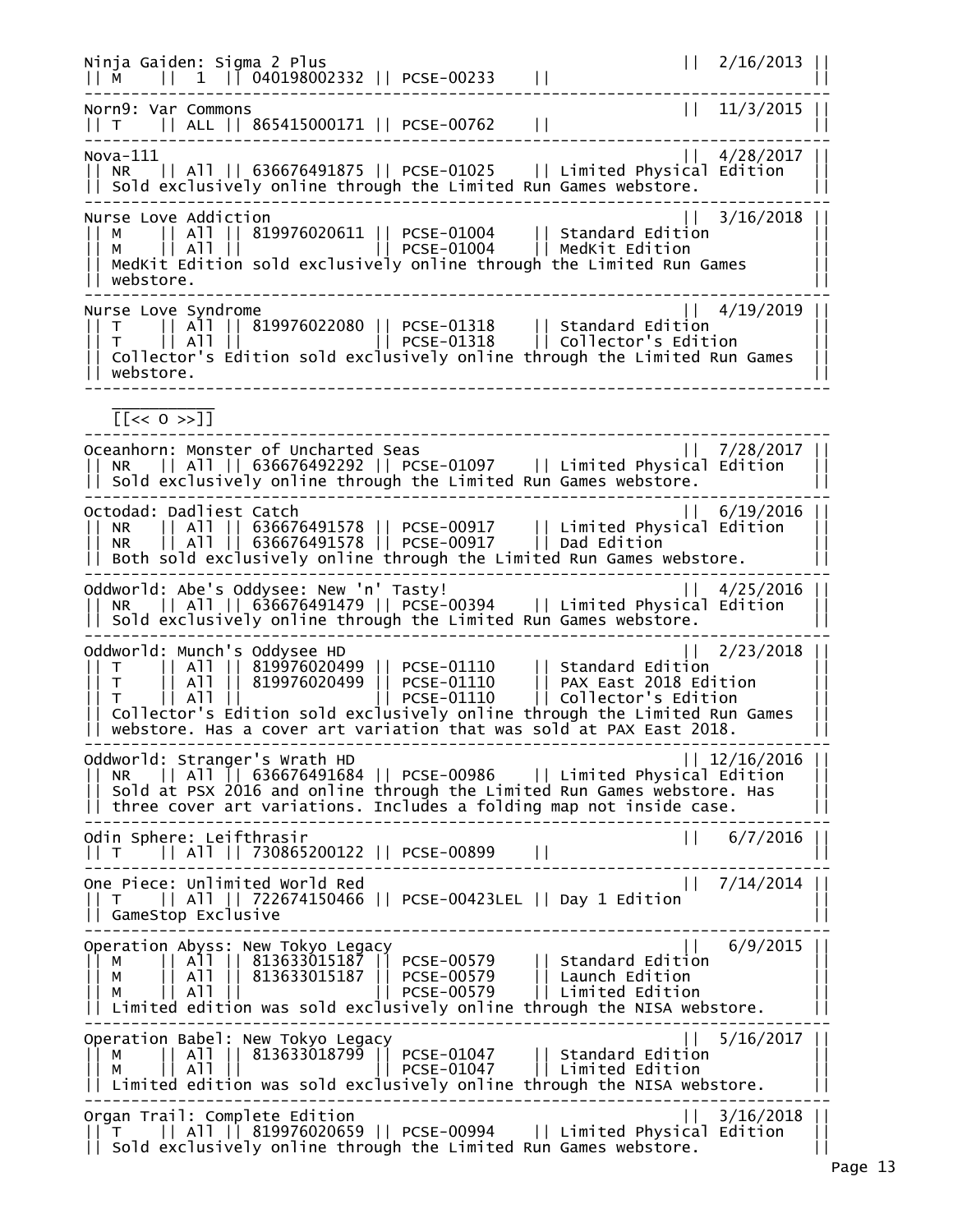Ninja Gaiden: Sigma 2 Plus || 2/16/2013 ||  $|| M || 1 || 040198002332 || PCSE-00233 ||$ -------------------------------------------------------------------------------- Norn9: Var Commons || 11/3/2015 || || T || ALL || 865415000171 || PCSE-00762 || || -------------------------------------------------------------------------------- Nova-111 || 4/28/2017 || || NR || All || 636676491875 || PCSE-01025 || Limited Physical Edition || || Sold exclusively online through the Limited Run Games webstore. || -------------------------------------------------------------------------------- Nurse Love Addiction || 3/16/2018 || || M || All || 819976020611 || PCSE-01004 || Standard Edition || || M || All || || PCSE-01004 || MedKit Edition || || MedKit Edition sold exclusively online through the Limited Run Games || || webstore. || -------------------------------------------------------------------------------- Nurse Love Syndrome || 4/19/2019 || || T || All || 819976022080 || PCSE-01318 || Standard Edition || || T || All || || PCSE-01318 || Collector's Edition ||  $|\,|$  Collector's Edition sold exclusively online through the Limited Run Games || webstore. || --------------------------------------------------------------------------------  $\frac{1}{2}$  ,  $\frac{1}{2}$  ,  $\frac{1}{2}$  ,  $\frac{1}{2}$  ,  $\frac{1}{2}$  ,  $\frac{1}{2}$  ,  $\frac{1}{2}$  ,  $\frac{1}{2}$  [[<< O >>]] -------------------------------------------------------------------------------- Oceanhorn: Monster of Uncharted Seas || 7/28/2017 || || NR || All || 636676492292 || PCSE-01097 || Limited Physical Edition || || Sold exclusively online through the Limited Run Games webstore. || -------------------------------------------------------------------------------- Octodad: Dadliest Catch || 6/19/2016 || || NR || All || 636676491578 || PCSE-00917 || Limited Physical Edition || || NR || All || 636676491578 || PCSE-00917 || Dad Edition || || Both sold exclusively online through the Limited Run Games webstore. || -------------------------------------------------------------------------------- Oddworld: Abe's Oddysee: New 'n' Tasty! || 4/25/2016 || || NR || All || 636676491479 || PCSE-00394 || Limited Physical Edition ||  $|$  Sold exclusively online through the Limited Run Games webstore. -------------------------------------------------------------------------------- Oddworld: Munch's Oddysee HD || 2/23/2018 || || T || All || 819976020499 || PCSE-01110 || Standard Edition || || T || All || 819976020499 || PCSE-01110 || PAX East 2018 Edition || || T || All || || PCSE-01110 || Collector's Edition || || Collector's Edition sold exclusively online through the Limited Run Games ||  $||$  webstore. Has a cover art variation that was sold at PAX East 2018.  $||$ -------------------------------------------------------------------------------- Oddworld: Stranger's Wrath HD || 12/16/2016 || || NR || All || 636676491684 || PCSE-00986 || Limited Physical Edition || || Sold at PSX 2016 and online through the Limited Run Games webstore. Has || || three cover art variations. Includes a folding map not inside case.  $||$ -------------------------------------------------------------------------------- Odin Sphere: Leifthrasir || 6/7/2016 || || T || All || 730865200122 || PCSE-00899 || || -------------------------------------------------------------------------------- One Piece: Unlimited World Red || T || All || 722674150466 || PCSE-00423LEL || Day 1 Edition || || GameStop Exclusive || -------------------------------------------------------------------------------- Operation Abyss: New Tokyo Legacy || 6/9/2015 || || M || All || 813633015187 || PCSE-00579 || Standard Edition || || M || All || 813633015187 || PCSE-00579 || Launch Edition || || M || All || || PCSE-00579 || Limited Edition || || Limited edition was sold exclusively online through the NISA webstore. || -------------------------------------------------------------------------------- Operation Babel: New Tokyo Legacy || 5/16/2017 || || M || All || 813633018799 || PCSE-01047 || Standard Edition || || M || All || || PCSE-01047 || Limited Edition ||  $|\;|$  Limited edition was sold exclusively online through the NISA webstore. -------------------------------------------------------------------------------- Organ Trail: Complete Edition || 3/16/2018 || || T || All || 819976020659 || PCSE-00994 || Limited Physical Edition || || Sold exclusively online through the Limited Run Games webstore.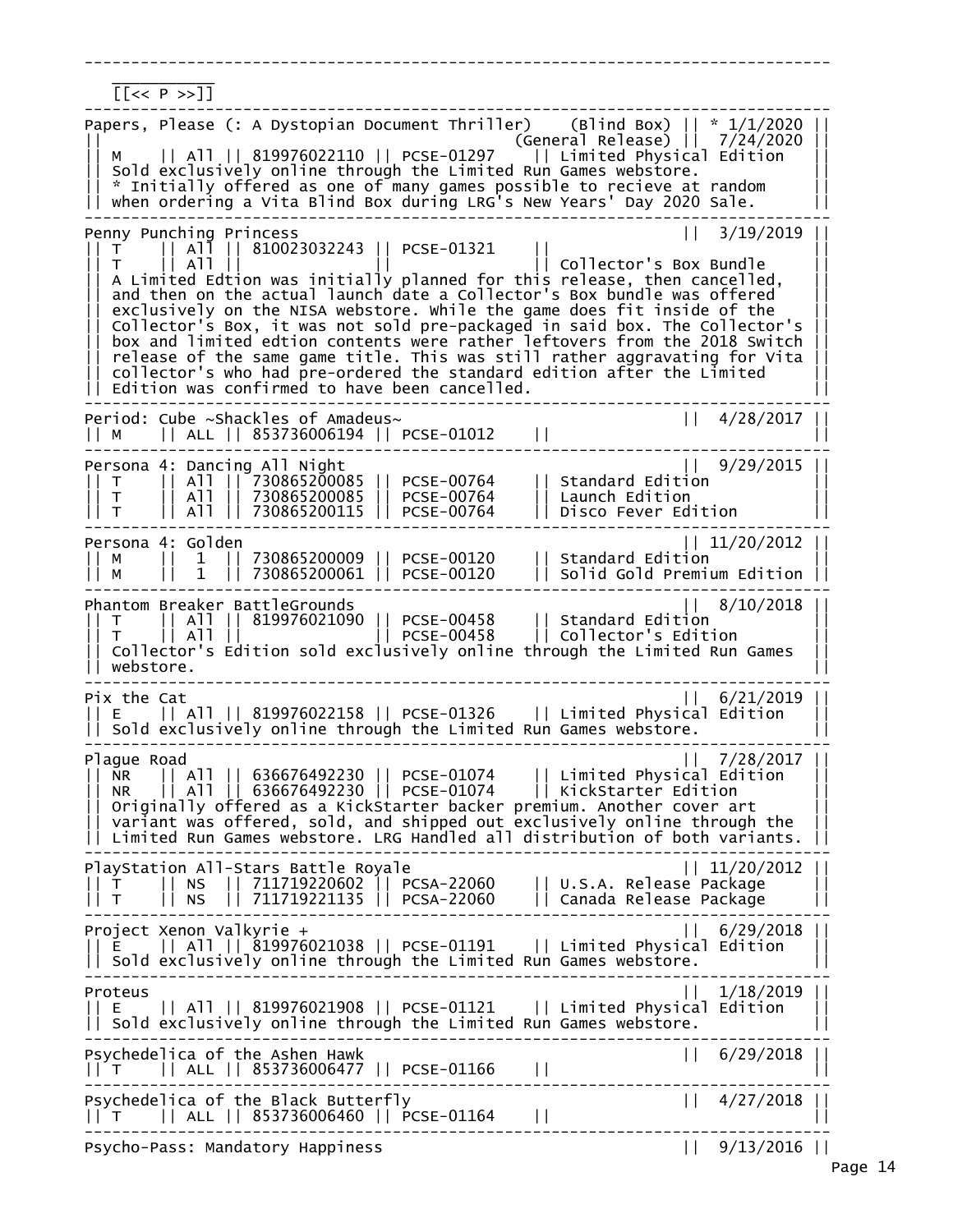--------------------------------------------------------------------------------  $\frac{1}{2}$  ,  $\frac{1}{2}$  ,  $\frac{1}{2}$  ,  $\frac{1}{2}$  ,  $\frac{1}{2}$  ,  $\frac{1}{2}$  ,  $\frac{1}{2}$  ,  $\frac{1}{2}$  $[ P \gg]$ -------------------------------------------------------------------------------- Papers, Please (: A Dystopian Document Thriller) (Blind Box) || \* 1/1/2020 || || (General Release) || 7/24/2020 || || M || All || 819976022110 || PCSE-01297 || Limited Physical Edition || || Sold exclusively online through the Limited Run Games webstore. || || \* Initially offered as one of many games possible to recieve at random || || when ordering a Vita Blind Box during LRG's New Years' Day 2020 Sale. || -------------------------------------------------------------------------------- Penny Punching Princess<br>|| T || All || 810023032243 || PCSE-01321 || || 3/19/2019 |  $|T|$  || All || 810023032243 || PCSE-01321<br>T || All ||  $|$  Collector's Box Bundle A Limited Edtion was initially planned for this release, then cancelled, || and then on the actual launch date a Collector's Box bundle was offered ||  $|\;|$  exclusively on the NISA webstore. While the game does fit inside of the  $\;| \; |$ || Collector's Box, it was not sold pre-packaged in said box. The Collector's || box and limited edtion contents were rather leftovers from the 2018 Switch || release of the same game title. This was still rather aggravating for Vita || || collector's who had pre-ordered the standard edition after the Limited || || Edition was confirmed to have been cancelled. || -------------------------------------------------------------------------------- Period: Cube ~Shackles of Amadeus~ || 4/28/2017 || || M || ALL || 853736006194 || PCSE-01012 || || -------------------------------------------------------------------------------- Persona 4: Dancing All Night || 9/29/2015 || || T || All || 730865200085 || PCSE-00764 || Standard Edition || || T || All || 730865200085 || PCSE-00764 || Launch Edition || || T || All || 730865200115 || PCSE-00764 || Disco Fever Edition || -------------------------------------------------------------------------------- Persona 4: Golden || 11/20/2012 || || M || 1 || 730865200009 || PCSE-00120 || Standard Edition || || M || 1 || 730865200061 || PCSE-00120 || Solid Gold Premium Edition || -------------------------------------------------------------------------------- Phantom Breaker BattleGrounds || 8/10/2018 || || T || All || 819976021090 || PCSE-00458 || Standard Edition || || T || All || || PCSE-00458 || Collector's Edition || || Collector's Edition sold exclusively online through the Limited Run Games || || webstore. || -------------------------------------------------------------------------------- Pix the Cat || 6/21/2019 || || E || All || 819976022158 || PCSE-01326 || Limited Physical Edition || || Sold exclusively online through the Limited Run Games webstore. || -------------------------------------------------------------------------------- Plague Road || 7/28/2017 || || NR || All || 636676492230 || PCSE-01074 || Limited Physical Edition || || NR || All || 636676492230 || PCSE-01074 || KickStarter Edition || || Originally offered as a KickStarter backer premium. Another cover art || || variant was offered, sold, and shipped out exclusively online through the || || Limited Run Games webstore. LRG Handled all distribution of both variants. || -------------------------------------------------------------------------------- PlayStation All-Stars Battle Royale || 11/20/2012 || || T || NS || 711719220602 || PCSA-22060 || U.S.A. Release Package || || T || NS || 711719221135 || PCSA-22060 || Canada Release Package || -------------------------------------------------------------------------------- Project Xenon Valkyrie + || 6/29/2018 || || E || All || 819976021038 || PCSE-01191 || Limited Physical Edition || || Sold exclusively online through the Limited Run Games webstore. || -------------------------------------------------------------------------------- Proteus || 1/18/2019 || || E || All || 819976021908 || PCSE-01121 || Limited Physical Edition ||  $|\,|$  Sold exclusively online through the Limited Run Games webstore. -------------------------------------------------------------------------------- Psychedelica of the Ashen Hawk || 6/29/2018 || || T || ALL || 853736006477 || PCSE-01166 || || -------------------------------------------------------------------------------- Psychedelica of the Black Butterfly || 4/27/2018 || || T || ALL || 853736006460 || PCSE-01164 || || -------------------------------------------------------------------------------- Psycho-Pass: Mandatory Happiness || 9/13/2016 ||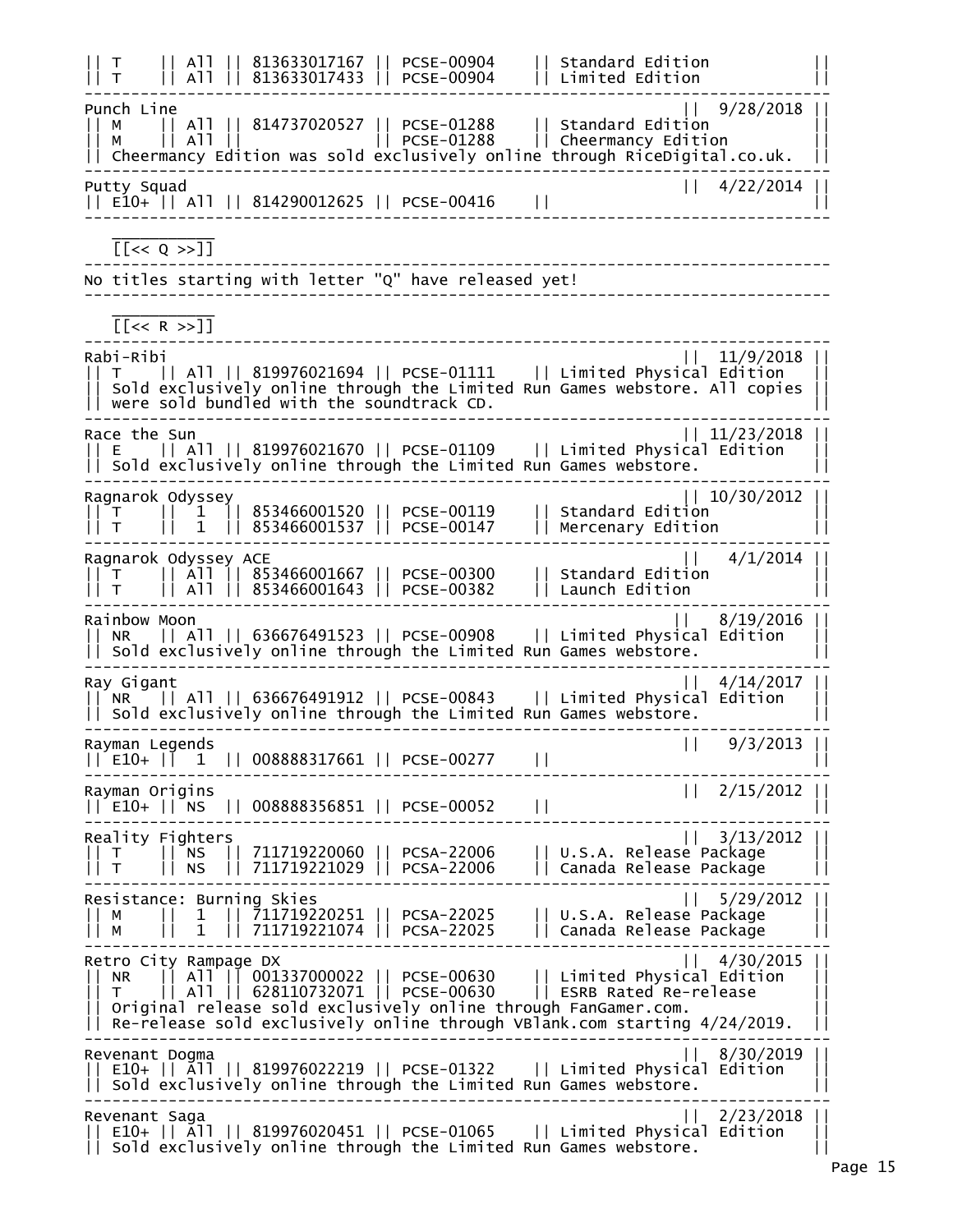|| T || All || 813633017167 || PCSE-00904 || Standard Edition || || T || All || 813633017433 || PCSE-00904 || Limited Edition || -------------------------------------------------------------------------------- Punch Line || 9/28/2018 || || M || All || 814737020527 || PCSE-01288 || Standard Edition || || M || All || || PCSE-01288 || Cheermancy Edition || || Cheermancy Edition was sold exclusively online through RiceDigital.co.uk. || -------------------------------------------------------------------------------- Putty Squad || 4/22/2014 || || E10+ || All || 814290012625 || PCSE-00416 || || --------------------------------------------------------------------------------  $\frac{1}{2}$  ,  $\frac{1}{2}$  ,  $\frac{1}{2}$  ,  $\frac{1}{2}$  ,  $\frac{1}{2}$  ,  $\frac{1}{2}$  ,  $\frac{1}{2}$  ,  $\frac{1}{2}$  $[ [ < Q > > ] ]$ -------------------------------------------------------------------------------- No titles starting with letter "Q" have released yet! --------------------------------------------------------------------------------  $\frac{1}{2}$  ,  $\frac{1}{2}$  ,  $\frac{1}{2}$  ,  $\frac{1}{2}$  ,  $\frac{1}{2}$  ,  $\frac{1}{2}$  ,  $\frac{1}{2}$  ,  $\frac{1}{2}$  [[<< R >>]] -------------------------------------------------------------------------------- Rabi-Ribi || 11/9/2018 || || T || All || 819976021694 || PCSE-01111 || Limited Physical Edition ||  $| \, |$  Sold exclusively online through the Limited Run Games webstore. All copies  $| \, |$  $|$  were sold bundled with the soundtrack CD. -------------------------------------------------------------------------------- Race the Sun  $|| 11/23/2018 ||$ || E || All || 819976021670 || PCSE-01109 || Limited Physical Edition ||  $| \; |$  Sold exclusively online through the Limited Run Games webstore. -------------------------------------------------------------------------------- Ragnarok Odyssey || 10/30/2012 || || T || 1 || 853466001520 || PCSE-00119 || Standard Edition || || T || 1 || 853466001537 || PCSE-00147 || Mercenary Edition || -------------------------------------------------------------------------------- Ragnarok Odyssey ACE || 4/1/2014 || || T || All || 853466001667 || PCSE-00300 || Standard Edition || || T || All || 853466001643 || PCSE-00382 || Launch Edition || -------------------------------------------------------------------------------- Rainbow Moon || 8/19/2016 || || NR || All || 636676491523 || PCSE-00908 || Limited Physical Edition ||  $|$  Sold exclusively online through the Limited Run Games webstore. -------------------------------------------------------------------------------- Ray Gigant || 4/14/2017 || 5000 || 12/2017 || 5000 || 4/14/2017 || 5000 || 5000 | || NR || All || 636676491912 || PCSE-00843 || Limited Physical Edition || || Sold exclusively online through the Limited Run Games webstore. || -------------------------------------------------------------------------------- Rayman Legends<br>|| E10+ || 1 || 008888317661 || PCSE-00277 || || 9/3/2013 || E10+ || 1 || 008888317661 || PCSE-00277 || || -------------------------------------------------------------------------------- Rayman Origins (1999) 2003 112 12:00 12:00 12:00 12:00 12:00 12:00 12:00 12:00 12:00 12:00 12:00 12:00 12:00 1 || E10+ || NS || 008888356851 || PCSE-00052 || || -------------------------------------------------------------------------------- Reality Fighters || 3/13/2012 || || T || NS || 711719220060 || PCSA-22006 || U.S.A. Release Package || || T || NS || 711719221029 || PCSA-22006 || Canada Release Package || -------------------------------------------------------------------------------- Resistance: Burning Skies || 5/29/2012 || || M || 1 || 711719220251 || PCSA-22025 || U.S.A. Release Package || || M || 1 || 711719221074 || PCSA-22025 || Canada Release Package || -------------------------------------------------------------------------------- Retro City Rampage DX || 4/30/2015 || || NR || All || 001337000022 || PCSE-00630 || Limited Physical Edition || || T || All || 628110732071 || PCSE-00630 || ESRB Rated Re-release || || Original release sold exclusively online through FanGamer.com. || || Re-release sold exclusively online through VBlank.com starting 4/24/2019. || -------------------------------------------------------------------------------- Revenant Dogma || 8/30/2019 || || E10+ || All || 819976022219 || PCSE-01322 || Limited Physical Edition ||  $|\;|$  Sold exclusively online through the Limited Run Games webstore. -------------------------------------------------------------------------------- Revenant Saga || 2/23/2018 || || E10+ || All || 819976020451 || PCSE-01065 || Limited Physical Edition || || Sold exclusively online through the Limited Run Games webstore. ||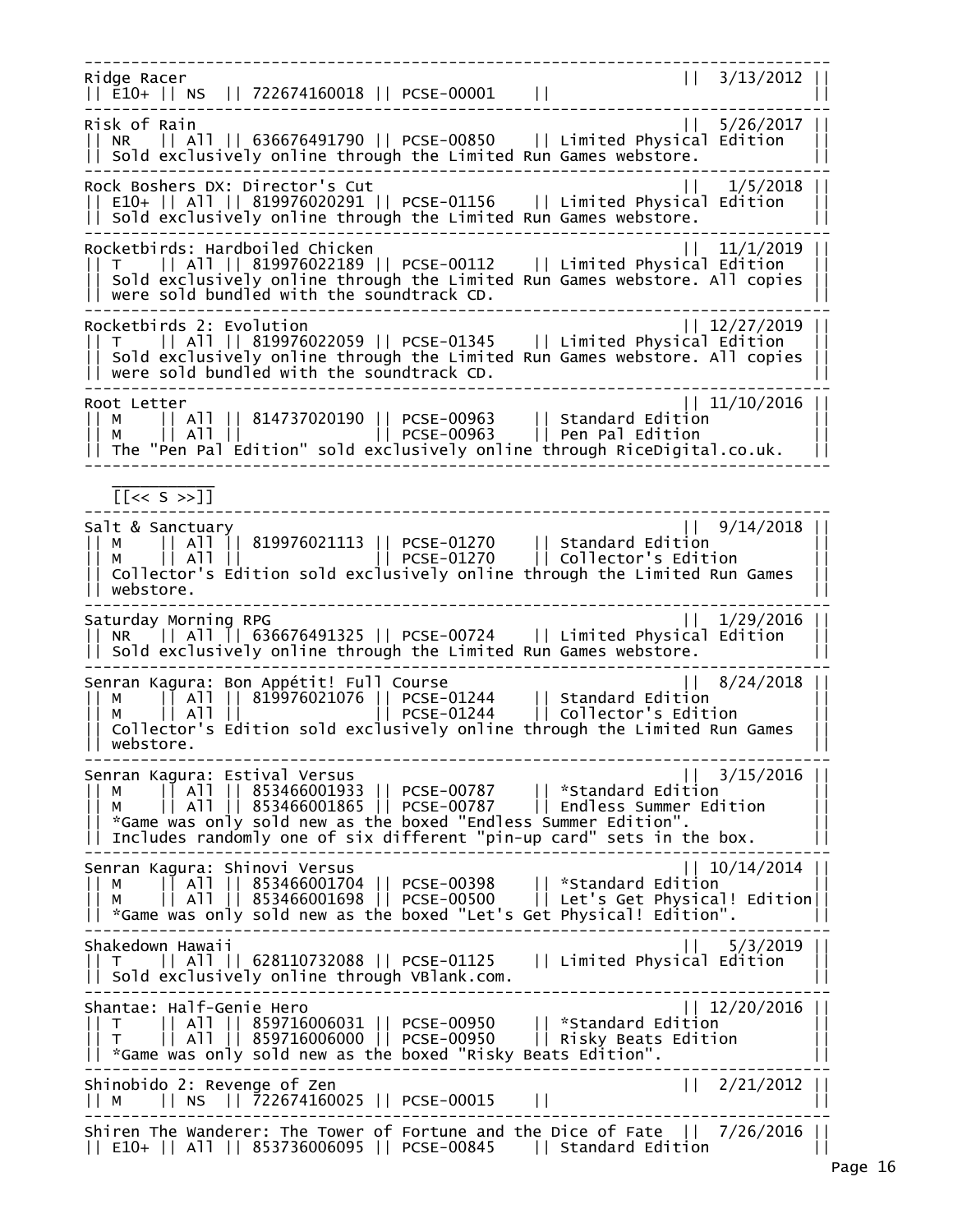-------------------------------------------------------------------------------- Ridge Racer || 3/13/2012 | || E10+ || NS || 722674160018 || PCSE-00001 || || -------------------------------------------------------------------------------- Risk of Rain || 5/26/2017 || || NR || All || 636676491790 || PCSE-00850 || Limited Physical Edition ||  $|\;|$  Sold exclusively online through the Limited Run Games webstore. -------------------------------------------------------------------------------- Rock Boshers DX: Director's Cut || 1/5/2018 || || E10+ || All || 819976020291 || PCSE-01156 || Limited Physical Edition ||  $|\;|$  Sold exclusively online through the Limited Run Games webstore. -------------------------------------------------------------------------------- Rocketbirds: Hardboiled Chicken || T || All || 819976022189 || PCSE-00112 || Limited Physical Edition ||  $|\,|$  Sold exclusively online through the Limited Run Games webstore. All copies  $|$  $||$  were sold bundled with the soundtrack CD. -------------------------------------------------------------------------------- Rocketbirds 2: Evolution || 12/27/2019 || || T || All || 819976022059 || PCSE-01345 || Limited Physical Edition || || Sold exclusively online through the Limited Run Games webstore. All copies ||  $||$  were sold bundled with the soundtrack CD. -------------------------------------------------------------------------------- Root Letter || 11/10/2016 || || M || All || 814737020190 || PCSE-00963 || Standard Edition || || M || All || || PCSE-00963 || Pen Pal Edition || || The "Pen Pal Edition" sold exclusively online through RiceDigital.co.uk. || --------------------------------------------------------------------------------  $\frac{1}{2}$  ,  $\frac{1}{2}$  ,  $\frac{1}{2}$  ,  $\frac{1}{2}$  ,  $\frac{1}{2}$  ,  $\frac{1}{2}$  ,  $\frac{1}{2}$  ,  $\frac{1}{2}$  $[<\leq s \geq]$ -------------------------------------------------------------------------------- Salt & Sanctuary || 9/14/2018 || || M || All || 819976021113 || PCSE-01270 || Standard Edition || || M || All || || PCSE-01270 || Collector's Edition || || Collector's Edition sold exclusively online through the Limited Run Games || || webstore. || -------------------------------------------------------------------------------- Saturday Morning RPG || 1/29/2016 || || NR || All || 636676491325 || PCSE-00724 || Limited Physical Edition ||  $|$  sold exclusively online through the Limited Run Games webstore. -------------------------------------------------------------------------------- Senran Kagura: Bon Appétit! Full Course || M || All || 819976021076 || PCSE-01244 || Standard Edition || || M || All || || PCSE-01244 || Collector's Edition ||  $|\,|$  Collector's Edition sold exclusively online through the Limited Run Games || webstore. || -------------------------------------------------------------------------------- Senran Kagura: Estival Versus || 3/15/2016 || || M || All || 853466001933 || PCSE-00787 || \*Standard Edition || || M || All || 853466001865 || PCSE-00787 || Endless Summer Edition || || \*Game was only sold new as the boxed "Endless Summer Edition". || || Includes randomly one of six different "pin-up card" sets in the box. || -------------------------------------------------------------------------------- Senran Kagura: Shinovi Versus || 10/14/2014 || || M || All || 853466001704 || PCSE-00398 || \*Standard Edition || || M || All || 853466001698 || PCSE-00500 || Let's Get Physical! Edition||  $|\;|$  \*Game was only sold new as the boxed "Let's Get Physical! Edition".  $|\;|$ -------------------------------------------------------------------------------- Shakedown Hawaii || 5/3/2019 || || T || All || 628110732088 || PCSE-01125 || Limited Physical Edition || || Sold exclusively online through VBlank.com. || -------------------------------------------------------------------------------- Shantae: Half-Genie Hero || T || All || 859716006031 || PCSE-00950 || \*Standard Edition || || T || All || 859716006000 || PCSE-00950 || Risky Beats Edition || || \*Game was only sold new as the boxed "Risky Beats Edition". || -------------------------------------------------------------------------------- Shinobido 2: Revenge of Zen || 2/21/2012 || || M || NS || 722674160025 || PCSE-00015 || || -------------------------------------------------------------------------------- Shiren The Wanderer: The Tower of Fortune and the Dice of Fate || 7/26/2016 || || E10+ || All || 853736006095 || PCSE-00845 || Standard Edition ||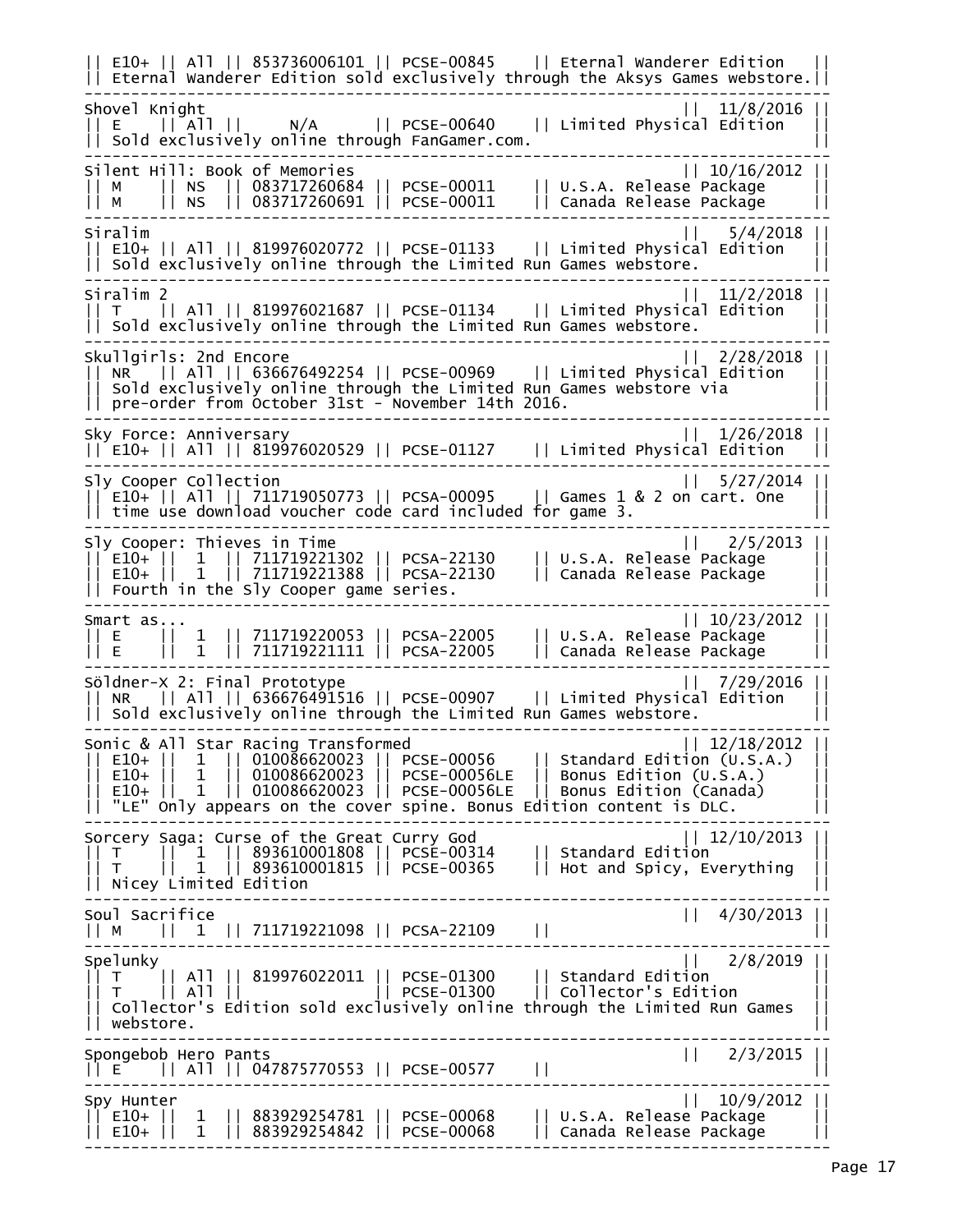|| E10+ || All || 853736006101 || PCSE-00845 || Eternal Wanderer Edition || || Eternal Wanderer Edition sold exclusively through the Aksys Games webstore.|| -------------------------------------------------------------------------------- Shovel Knight || 11/8/2016 || || E || All || N/A || PCSE-00640 || Limited Physical Edition || || Sold exclusively online through FanGamer.com. || -------------------------------------------------------------------------------- Silent Hill: Book of Memories || 10/16/2012 || || M || NS || 083717260684 || PCSE-00011 || U.S.A. Release Package || || M || NS || 083717260691 || PCSE-00011 || Canada Release Package || -------------------------------------------------------------------------------- Siralim || 5/4/2018 || || E10+ || All || 819976020772 || PCSE-01133 || Limited Physical Edition ||  $|$  Sold exclusively online through the Limited Run Games webstore. -------------------------------------------------------------------------------- Siralim 2 || 11/2/2018 || || T || All || 819976021687 || PCSE-01134 || Limited Physical Edition || || Sold exclusively online through the Limited Run Games webstore. || -------------------------------------------------------------------------------- Skullgirls: 2nd Encore || 2/28/2018 || || NR || All || 636676492254 || PCSE-00969 || Limited Physical Edition ||  $|$  Sold exclusively online through the Limited Run Games webstore via  $|$  pre-order from October 31st - November 14th 2016. -------------------------------------------------------------------------------- Sky Force: Anniversary || 1/26/2018 || || E10+ || All || 819976020529 || PCSE-01127 || Limited Physical Edition || -------------------------------------------------------------------------------- Sly Cooper Collection  $\sqrt{16}$   $\sqrt{27/2014}$  $\begin{array}{|l|l|} \hline \texttt{[i]} & \texttt{[j]} & \texttt{[j]} & \texttt{[j]} & \texttt{[j]} & \texttt{[j]} & \texttt{[j]} & \texttt{[j]} & \texttt{[j]} & \texttt{[j]} & \texttt{[j]} & \texttt{[j]} & \texttt{[j]} & \texttt{[j]} & \texttt{[j]} & \texttt{[j]} & \texttt{[j]} & \texttt{[j]} & \texttt{[j]} & \texttt{[j]} & \texttt{[j]} & \texttt{[j]} & \texttt{[j]} & \texttt{[j]} & \texttt{[j]} & \texttt{[j$  $|\;|$  time use download voucher code card included for game 3.  $|\;|$ -------------------------------------------------------------------------------- Sly Cooper: Thieves in Time || 2/5/2013 || || E10+ || 1 || 711719221302 || PCSA-22130 || U.S.A. Release Package || || E10+ || 1 || 711719221388 || PCSA-22130 || Canada Release Package ||  $|\;|$  Fourth in the Sly Cooper game series.  $|\;|$ -------------------------------------------------------------------------------- Smart as... || 10/23/2012 || || E || 1 || 711719220053 || PCSA-22005 || U.S.A. Release Package || || E || 1 || 711719221111 || PCSA-22005 || Canada Release Package || -------------------------------------------------------------------------------- Söldner-X 2: Final Prototype || 7/29/2016 || || NR || All || 636676491516 || PCSE-00907 || Limited Physical Edition || || Sold exclusively online through the Limited Run Games webstore. || -------------------------------------------------------------------------------- Sonic & All Star Racing Transformed || 12/18/2012 || || E10+ || 1 || 010086620023 || PCSE-00056 || Standard Edition (U.S.A.) || || E10+ || 1 || 010086620023 || PCSE-00056LE || Bonus Edition (U.S.A.) || || E10+ || 1 || 010086620023 || PCSE-00056LE || Bonus Edition (Canada) ||  $||$  "LE" only appears on the cover spine. Bonus Edition content is DLC. -------------------------------------------------------------------------------- Sorcery Saga: Curse of the Great Curry God || 12/10/2013 || || T || 1 || 893610001808 || PCSE-00314 || Standard Edition || || T || 1 || 893610001815 || PCSE-00365 || Hot and Spicy, Everything || || Nicey Limited Edition || -------------------------------------------------------------------------------- Soul Sacrifice || 4/30/2013 || || M || 1 || 711719221098 || PCSA-22109 || || -------------------------------------------------------------------------------- Spelunky || 2/8/2019 || || T || All || 819976022011 || PCSE-01300 || Standard Edition || || T || All || || PCSE-01300 || Collector's Edition || || Collector's Edition sold exclusively online through the Limited Run Games || || webstore. || -------------------------------------------------------------------------------- Spongebob Hero Pants || 2/3/2015 || || E || All || 047875770553 || PCSE-00577 || || -------------------------------------------------------------------------------- Spy Hunter || 10/9/2012 || || E10+ || 1 || 883929254781 || PCSE-00068 || U.S.A. Release Package || || E10+ || 1 || 883929254842 || PCSE-00068 || Canada Release Package || --------------------------------------------------------------------------------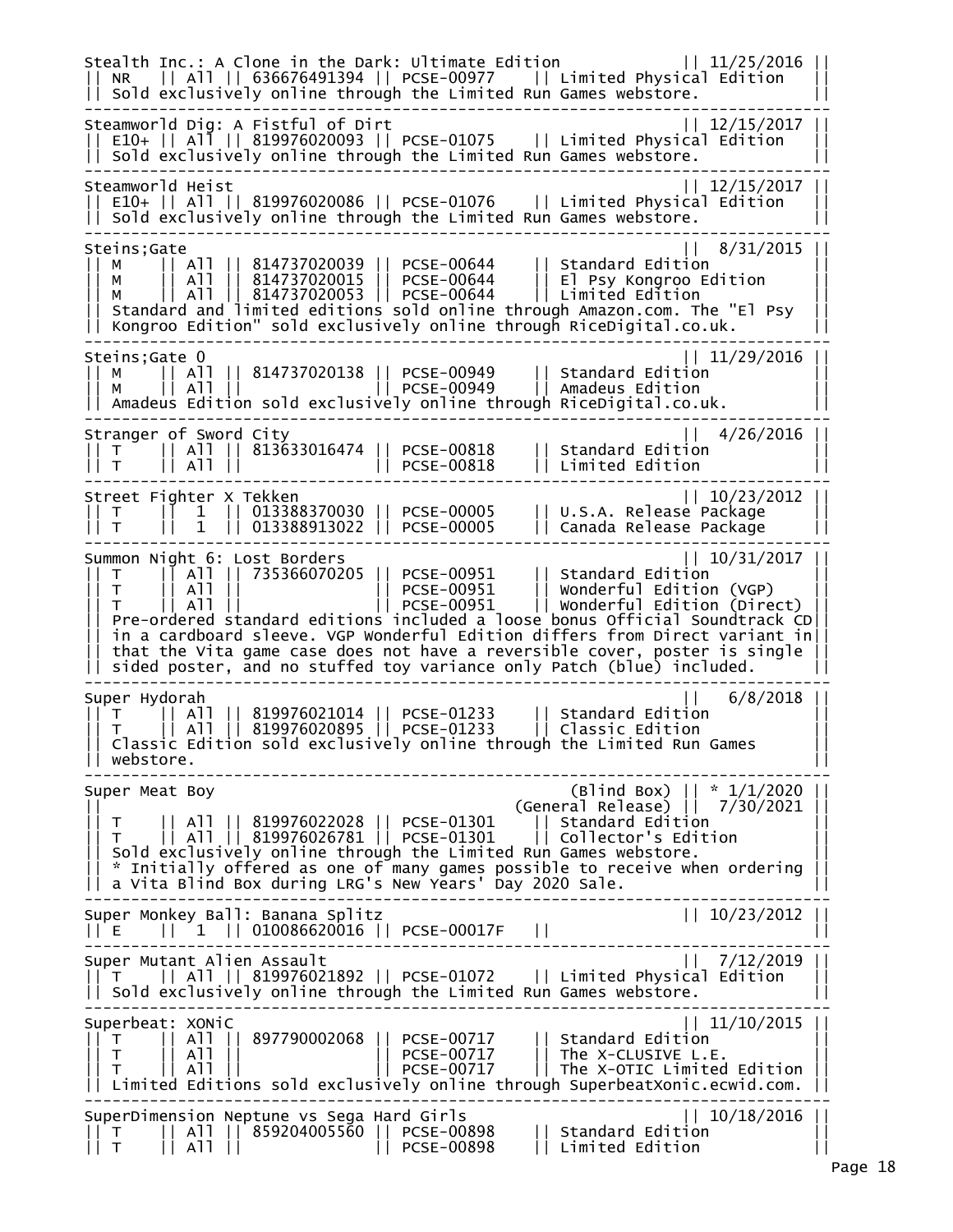Stealth Inc.: A Clone in the Dark: Ultimate Edition || 11/25/2016 || || NR || All || 636676491394 || PCSE-00977 || Limited Physical Edition ||  $|$  sold exclusively online through the Limited Run Games webstore. -------------------------------------------------------------------------------- Steamworld Dig: A Fistful of Dirt || 12/15/2017 || E10+ || All || 819976020093 || PCSE-01075 || Limited Physical Edition  $|\cdot|$  Sold exclusively online through the Limited Run Games webstore. -------------------------------------------------------------------------------- Steamworld Heist || 12/15/2017 || || E10+ || All || 819976020086 || PCSE-01076 || Limited Physical Edition ||  $|\;|$  Sold exclusively online through the Limited Run Games webstore. -------------------------------------------------------------------------------- Steins;Gate || 8/31/2015 || || M || All || 814737020039 || PCSE-00644 || Standard Edition || || M || All || 814737020015 || PCSE-00644 || El Psy Kongroo Edition || || M || All || 814737020053 || PCSE-00644 || Limited Edition || || Standard and limited editions sold online through Amazon.com. The "El Psy || || Kongroo Edition" sold exclusively online through RiceDigital.co.uk. || -------------------------------------------------------------------------------- Steins;Gate 0 || 11/29/2016 || 11/29/2016 || M || All || 814737020138 || PCSE-00949 || Standard Edition || || M || All || || PCSE-00949 || Amadeus Edition || || Amadeus Edition sold exclusively online through RiceDigital.co.uk. || -------------------------------------------------------------------------------- Stranger of Sword City<br>|| 4/26/2016 || 4/26/2016 || 4/26/2016 || 4/26/2016 || 1 || T || All || 813633016474 || PCSE-00818 || Standard Edition || || T || All || || PCSE-00818 || Limited Edition || -------------------------------------------------------------------------------- Street Fighter X Tekken || 10/23/2012 || || T || 1 || 013388370030 || PCSE-00005 || U.S.A. Release Package || || T || 1 || 013388913022 || PCSE-00005 || Canada Release Package || -------------------------------------------------------------------------------- Summon Night 6: Lost Borders || 10/31/2<br>|| T || All || 735366070205 || PCSE-00951 || Standard Edition<br>|| T || All || || PCSE-00951 || Wonderful Edition (VGP) || T || All || 735366070205 || PCSE-00951 || Standard Edition || || T || All || || PCSE-00951 || Wonderful Edition (VGP) || || T || All || || PCSE-00951 || Wonderful Edition (Direct) || || Pre-ordered standard editions included a loose bonus Official Soundtrack CD||  $|\,|$  in a cardboard sleeve. VGP Wonderful Edition differs from Direct variant in $|\,|$ || that the Vita game case does not have a reversible cover, poster is single ||  $| \ \ |$  sided poster, and no stuffed toy variance only Patch (blue) included. -------------------------------------------------------------------------------- Super Hydorah || 6/8/2018 || || T || All || 819976021014 || PCSE-01233 || Standard Edition || || T || All || 819976020895 || PCSE-01233 || Classic Edition || || Classic Edition sold exclusively online through the Limited Run Games || || webstore. || -------------------------------------------------------------------------------- Super Meat Boy (Blind Box) || \* 1/1/2020 || || (General Release) || 7/30/2021 || || T || All || 819976022028 || PCSE-01301 || Standard Edition || || T || All || 819976026781 || PCSE-01301 || Collector's Edition || Sold exclusively online through the Limited Run Games webstore. || \* Initially offered as one of many games possible to receive when ordering || || a Vita Blind Box during LRG's New Years' Day 2020 Sale. || -------------------------------------------------------------------------------- Super Monkey Ball: Banana Splitz || 10/23/2012 || || E || 1 || 010086620016 || PCSE-00017F || || -------------------------------------------------------------------------------- Super Mutant Alien Assault || 7/12/2019 || || T || All || 819976021892 || PCSE-01072 || Limited Physical Edition || || Sold exclusively online through the Limited Run Games webstore. || -------------------------------------------------------------------------------- | 11/10/2015 || 11/10/2015<br>|| 11/10/2015 || 11/10/2015 || 15 Merce || 11/10/2015 || 15 Merce || 11 Me Т || All || 897790002068 || PCSE-00717<br>Т || All || || || || || || || PCSE-00717 || T || All || || PCSE-00717 || The X-CLUSIVE L.E. || || T || All || || PCSE-00717 || The X-OTIC Limited Edition || || Limited Editions sold exclusively online through SuperbeatXonic.ecwid.com. || -------------------------------------------------------------------------------- SuperDimension Neptune vs Sega Hard Girls || 10/18/2016 || || T || All || 859204005560 || PCSE-00898 || Standard Edition || || T || All || || PCSE-00898 || Limited Edition ||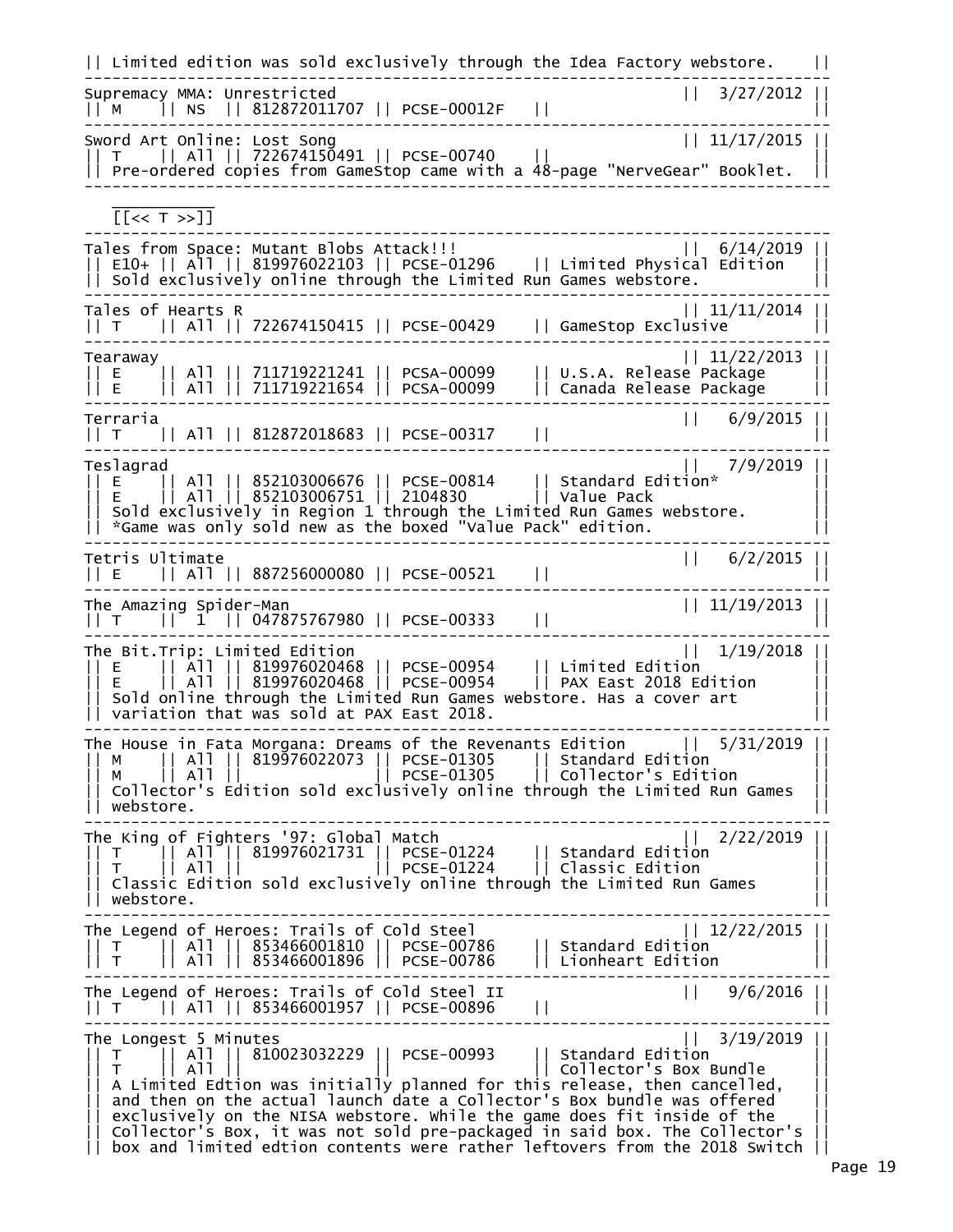|| Limited edition was sold exclusively through the Idea Factory webstore. || -------------------------------------------------------------------------------- Supremacy MMA: Unrestricted || 3/27/2012 || || M || NS || 812872011707 || PCSE-00012F || || -------------------------------------------------------------------------------- Sword Art Online: Lost Song || 11/17/2015 || || T || All || 722674150491 || PCSE-00740 || || || Pre-ordered copies from GameStop came with a 48-page "NerveGear" Booklet. || --------------------------------------------------------------------------------  $\frac{1}{2}$  ,  $\frac{1}{2}$  ,  $\frac{1}{2}$  ,  $\frac{1}{2}$  ,  $\frac{1}{2}$  ,  $\frac{1}{2}$  ,  $\frac{1}{2}$  ,  $\frac{1}{2}$  [[<< T >>]] -------------------------------------------------------------------------------- Tales from Space: Mutant Blobs Attack!!! || 6/14/2019 || || E10+ || All || 819976022103 || PCSE-01296 || Limited Physical Edition || || Sold exclusively online through the Limited Run Games webstore. || -------------------------------------------------------------------------------- Tales of Hearts R || 11/11/2014 || || T || All || 722674150415 || PCSE-00429 || GameStop Exclusive || -------------------------------------------------------------------------------- Tearaway || 11/22/2013 || || E || All || 711719221241 || PCSA-00099 || U.S.A. Release Package || || E || All || 711719221654 || PCSA-00099 || Canada Release Package || -------------------------------------------------------------------------------- Terraria || 6/9/2015 || || T || All || 812872018683 || PCSE-00317 || || -------------------------------------------------------------------------------- Teslagrad || 7/9/2019 || || E || All || 852103006676 || PCSE-00814 || Standard Edition\* || || E || All || 852103006751 || 2104830 || Value Pack || || Sold exclusively in Region 1 through the Limited Run Games webstore. || || \*Game was only sold new as the boxed "Value Pack" edition. || -------------------------------------------------------------------------------- Tetris Ultimate || 6/2/2015 || || E || All || 887256000080 || PCSE-00521 || || -------------------------------------------------------------------------------- The Amazing Spider-Man || 11/19/2013 || || T || 1 || 047875767980 || PCSE-00333 || || -------------------------------------------------------------------------------- The Bit.Trip: Limited Edition || 1/19/2018 || || E || All || 819976020468 || PCSE-00954 || Limited Edition || || E || All || 819976020468 || PCSE-00954 || PAX East 2018 Edition || || Sold online through the Limited Run Games webstore. Has a cover  $art$  ||  $|\;|$  variation that was sold at PAX East 2018.  $|\;|$ -------------------------------------------------------------------------------- The House in Fata Morgana: Dreams of the Revenants Edition || 5/31/2019 || || M || All || 819976022073 || PCSE-01305 || Standard Edition || || M || All || || PCSE-01305 || Collector's Edition ||  $|\,|$  Collector's Edition sold exclusively online through the Limited Run Games || webstore. || -------------------------------------------------------------------------------- The King of Fighters '97: Global Match || 2/22/2019 || || T || All || 819976021731 || PCSE-01224 || Standard Edition || || T || All || || PCSE-01224 || Classic Edition || || Classic Edition sold exclusively online through the Limited Run Games || || webstore. || -------------------------------------------------------------------------------- The Legend of Heroes: Trails of Cold Steel || 12/22/2015 || || T || All || 853466001810 || PCSE-00786 || Standard Edition || || T || All || 853466001896 || PCSE-00786 || Lionheart Edition || -------------------------------------------------------------------------------- The Legend of Heroes: Trails of Cold Steel II || 9/6/2016 || || T || All || 853466001957 || PCSE-00896 || || -------------------------------------------------------------------------------- The Longest 5 Minutes || 3/19/2019 || || T || All || 810023032229 || PCSE-00993 || Standard Edition || || T || All || || || Collector's Box Bundle || || A Limited Edtion was initially planned for this release, then cancelled, || || and then on the actual launch date a Collector's Box bundle was offered ||  $|\;|$  exclusively on the NISA webstore. While the game does fit inside of the  $\;| \; |$ || Collector's Box, it was not sold pre-packaged in said box. The Collector's || || box and limited edtion contents were rather leftovers from the 2018 Switch ||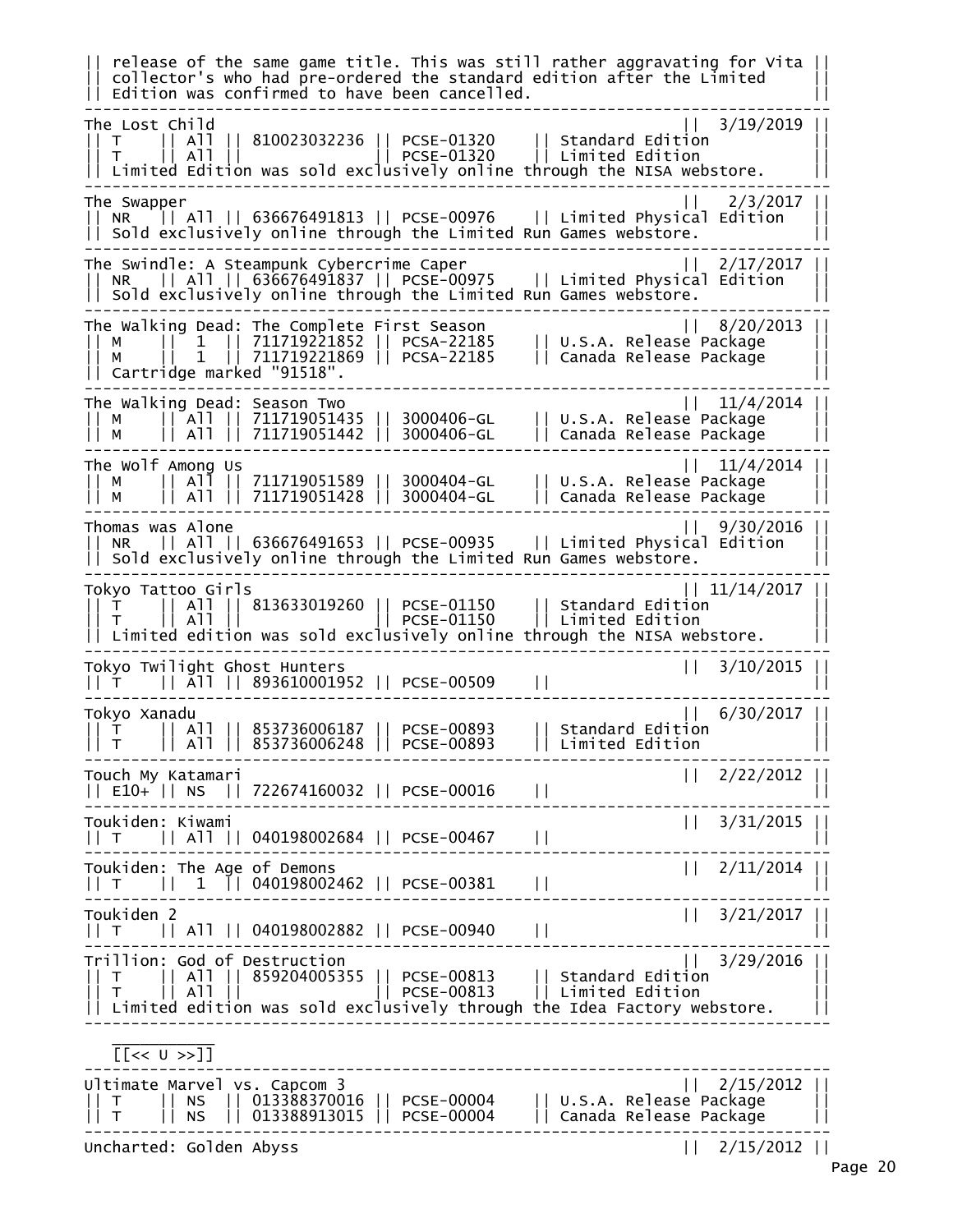|| release of the same game title. This was still rather aggravating for Vita || collector's who had pre-ordered the standard edition after the Limited Edition was confirmed to have been cancelled. -------------------------------------------------------------------------------- The Lost Child || 3/19/2019 || || T || All || 810023032236 || PCSE-01320 || Standard Edition || || T || All || || PCSE-01320 || Limited Edition ||  $|$  Limited Edition was sold exclusively online through the NISA webstore. -------------------------------------------------------------------------------- The Swapper || 2/3/2017 || || NR || All || 636676491813 || PCSE-00976 || Limited Physical Edition ||  $| \cdot |$  Sold exclusively online through the Limited Run Games webstore. -------------------------------------------------------------------------------- The Swindle: A Steampunk Cybercrime Caper || 2/17/2017 || || NR || All || 636676491837 || PCSE-00975 || Limited Physical Edition || || Sold exclusively online through the Limited Run Games webstore. -------------------------------------------------------------------------------- The Walking Dead: The Complete First Season || 8/20/2013 || || M || 1 || 711719221852 || PCSA-22185 || U.S.A. Release Package || || M || 1 || 711719221869 || PCSA-22185 || Canada Release Package || Cartridge marked "91518". -------------------------------------------------------------------------------- The Walking Dead: Season Two || 11/4/2014 || || M || All || 711719051435 || 3000406-GL || U.S.A. Release Package || || M || All || 711719051442 || 3000406-GL || Canada Release Package || -------------------------------------------------------------------------------- The Wolf Among Us || 11/4/2014 || || M || All || 711719051589 || 3000404-GL || U.S.A. Release Package || || M || All || 711719051428 || 3000404-GL || Canada Release Package || -------------------------------------------------------------------------------- Thomas was Alone || 9/30/2016 || || NR || All || 636676491653 || PCSE-00935 || Limited Physical Edition || || Sold exclusively online through the Limited Run Games webstore. || -------------------------------------------------------------------------------- Tokyo Tattoo Girls || T || All || 813633019260 || PCSE-01150 || Standard Edition || || T || All || || PCSE-01150 || Limited Edition ||  $|\;|$  Limited edition was sold exclusively online through the NISA webstore. -------------------------------------------------------------------------------- Tokyo Twilight Ghost Hunters || 3/10/2015 || || T || Āll || 893610001952 || PCSE-00509 -------------------------------------------------------------------------------- Tokyo Xanadu || 6/30/2017 || || T || All || 853736006187 || PCSE-00893 || Standard Edition ||  $|$ || All || 853736006248 || PCSE-00893 -------------------------------------------------------------------------------- Touch My Katamari || 2/22/2012 || || E10+ || NS || 722674160032 || PCSE-00016 || || -------------------------------------------------------------------------------- Toukiden: Kiwami || 3/31/2015 || || T || All || 040198002684 || PCSE-00467 || || -------------------------------------------------------------------------------- Toukiden: The Age of Demons<br>|| T || 1 || 040198002462 || PCSE-00381 || || T || 1 || 040198002462 || PCSE-00381 || || -------------------------------------------------------------------------------- Toukiden 2 || 3/21/2017 || || T || All || 040198002882 || PCSE-00940 || || -------------------------------------------------------------------------------- | 3/29/2016 || 3/29/2016 || 17 || 17 || 3/29/2016 |<br>|| 17 || 1859204005355 || PCSE-00813 || Standard Edition |<br>|| 1<sub>. .</sub> || 11 || || 11 || || 19CSE-00813 || Limited Edition | || T || All || 859204005355 || PCSE-00813 || Standard Edition || || T || All || || PCSE-00813 || Limited Edition ||  $|\cdot|$  Limited edition was sold exclusively through the Idea Factory webstore. --------------------------------------------------------------------------------  $\frac{1}{2}$  ,  $\frac{1}{2}$  ,  $\frac{1}{2}$  ,  $\frac{1}{2}$  ,  $\frac{1}{2}$  ,  $\frac{1}{2}$  ,  $\frac{1}{2}$  ,  $\frac{1}{2}$  [[<< U >>]] -------------------------------------------------------------------------------- Ultimate Marvel vs. Capcom 3 || 2/15/2012 || || T || NS || 013388370016 || PCSE-00004 || U.S.A. Release Package || || T || NS || 013388913015 || PCSE-00004 || Canada Release Package || -------------------------------------------------------------------------------- Uncharted: Golden Abyss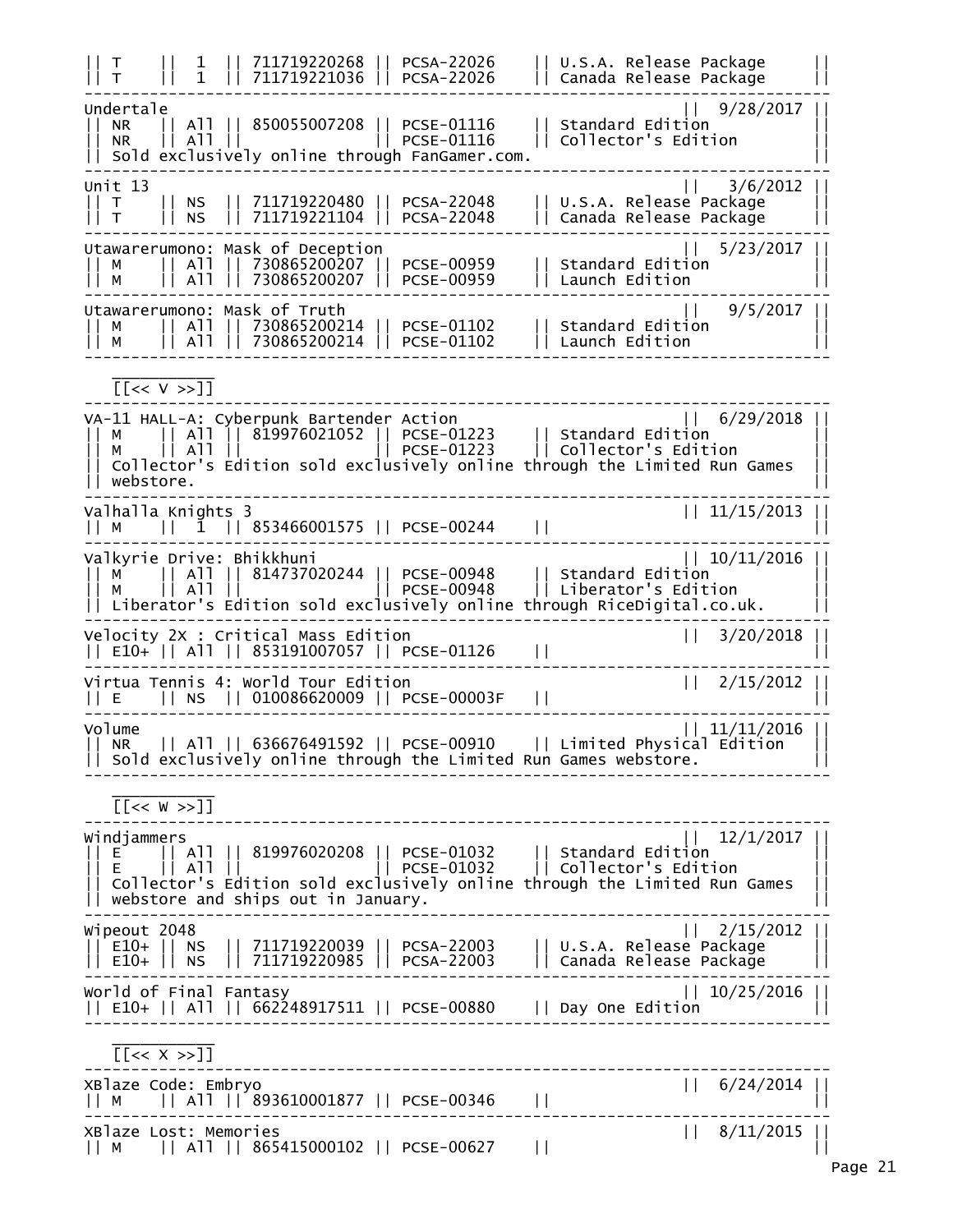|| T || 1 || 711719220268 || PCSA-22026 || U.S.A. Release Package || || T || 1 || 711719221036 || PCSA-22026 || Canada Release Package || -------------------------------------------------------------------------------- Undertale || 9/28/2017 || || NR || All || 850055007208 || PCSE-01116 || Standard Edition || || NR || All || || PCSE-01116 || Collector's Edition || || Sold exclusively online through FanGamer.com. || --------------------------------------------------------------------------------  $Unit$  13  $||$  3/6/2012  $||$ || T || NS || 711719220480 || PCSA-22048 || U.S.A. Release Package || || T || NS || 711719221104 || PCSA-22048 || Canada Release Package || -------------------------------------------------------------------------------- Utawarerumono: Mask of Deception || 5/23/2017 || || M || All || 730865200207 || PCSE-00959 || Standard Edition || || M || All || 730865200207 || PCSE-00959 || Launch Edition || -------------------------------------------------------------------------------- Utawarerumono: Mask of Truth || 9/5/2017 || || M || All || 730865200214 || PCSE-01102 || Standard Edition || || M || All || 730865200214 || PCSE-01102 || Launch Edition || --------------------------------------------------------------------------------  $\frac{1}{2}$  ,  $\frac{1}{2}$  ,  $\frac{1}{2}$  ,  $\frac{1}{2}$  ,  $\frac{1}{2}$  ,  $\frac{1}{2}$  ,  $\frac{1}{2}$  ,  $\frac{1}{2}$  [[<< V >>]] -------------------------------------------------------------------------------- VA-11 HALL-A: Cyberpunk Bartender Action || 6/29/2018 || || M || All || 819976021052 || PCSE-01223 || Standard Edition || || M || All || || PCSE-01223 || Collector's Edition || || Collector's Edition sold exclusively online through the Limited Run Games || || webstore. || -------------------------------------------------------------------------------- Valhalla Knights 3 || 11/15/2013 || || M || 1 || 853466001575 || PCSE-00244 || || -------------------------------------------------------------------------------- Valkyrie Drive: Bhikkhuni || 10/11/2016 || || M || All || 814737020244 || PCSE-00948 || Standard Edition || || M || All || || PCSE-00948 || Liberator's Edition || || Liberator's Edition sold exclusively online through RiceDigital.co.uk. || -------------------------------------------------------------------------------- Velocity 2X : Critical Mass Edition || 3/20/2018 || || E10+ || All || 853191007057 || PCSE-01126 || || -------------------------------------------------------------------------------- Virtua Tennis 4: World Tour Edition || 2/15/2012 || || E || NS || 010086620009 || PCSE-00003F || || -------------------------------------------------------------------------------- Volume || 11/11/2016 || || NR || All || 636676491592 || PCSE-00910 || Limited Physical Edition || || Sold exclusively online through the Limited Run Games webstore. --------------------------------------------------------------------------------  $\frac{1}{2}$  ,  $\frac{1}{2}$  ,  $\frac{1}{2}$  ,  $\frac{1}{2}$  ,  $\frac{1}{2}$  ,  $\frac{1}{2}$  ,  $\frac{1}{2}$  ,  $\frac{1}{2}$  [[<< W >>]] -------------------------------------------------------------------------------- Windjammers || 12/1/2017 || || E || All || 819976020208 || PCSE-01032 || Standard Edition || || E || All || || PCSE-01032 || Collector's Edition || || Collector's Edition sold exclusively online through the Limited Run Games || || webstore and ships out in January. || -------------------------------------------------------------------------------- Wipeout 2048 || 2/15/2012 || || E10+ || NS || 711719220039 || PCSA-22003 || U.S.A. Release Package || || E10+ || NS || 711719220985 || PCSA-22003 || Canada Release Package || -------------------------------------------------------------------------------- World of Final Fantasy || 10/25/2016 || || E10+ || All || 662248917511 || PCSE-00880 || Day One Edition || --------------------------------------------------------------------------------  $\frac{1}{2}$  ,  $\frac{1}{2}$  ,  $\frac{1}{2}$  ,  $\frac{1}{2}$  ,  $\frac{1}{2}$  ,  $\frac{1}{2}$  ,  $\frac{1}{2}$  ,  $\frac{1}{2}$  $[<\times$  X  $>$ ]] -------------------------------------------------------------------------------- XBlaze Code: Embryo || 6/24/2014 || || M || All || 893610001877 || PCSE-00346 || || -------------------------------------------------------------------------------- XBlaze Lost: Memories || 8/11/2015 || ------------<br>|| 8/11/2015 || XBlaze Lost: Memories<br>|| M || All || 865415000102 || PCSE-00627 ||